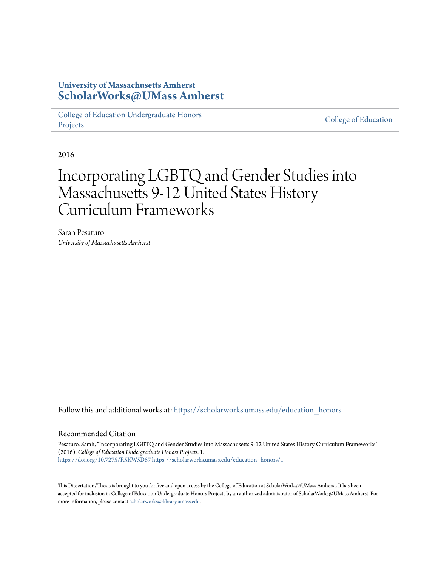# **University of Massachusetts Amherst [ScholarWorks@UMass Amherst](https://scholarworks.umass.edu?utm_source=scholarworks.umass.edu%2Feducation_honors%2F1&utm_medium=PDF&utm_campaign=PDFCoverPages)**

[College of Education Undergraduate Honors](https://scholarworks.umass.edu/education_honors?utm_source=scholarworks.umass.edu%2Feducation_honors%2F1&utm_medium=PDF&utm_campaign=PDFCoverPages) [Projects](https://scholarworks.umass.edu/education_honors?utm_source=scholarworks.umass.edu%2Feducation_honors%2F1&utm_medium=PDF&utm_campaign=PDFCoverPages)

[College of Education](https://scholarworks.umass.edu/education?utm_source=scholarworks.umass.edu%2Feducation_honors%2F1&utm_medium=PDF&utm_campaign=PDFCoverPages)

2016

# Incorporating LGBTQ and Gender Studies into Massachusetts 9-12 United States History Curriculum Frameworks

Sarah Pesaturo *University of Massachusetts Amherst*

Follow this and additional works at: [https://scholarworks.umass.edu/education\\_honors](https://scholarworks.umass.edu/education_honors?utm_source=scholarworks.umass.edu%2Feducation_honors%2F1&utm_medium=PDF&utm_campaign=PDFCoverPages)

#### Recommended Citation

Pesaturo, Sarah, "Incorporating LGBTQ and Gender Studies into Massachusetts 9-12 United States History Curriculum Frameworks" (2016). *College of Education Undergraduate Honors Projects*. 1. <https://doi.org/10.7275/R5KW5D87> [https://scholarworks.umass.edu/education\\_honors/1](https://scholarworks.umass.edu/education_honors/1?utm_source=scholarworks.umass.edu%2Feducation_honors%2F1&utm_medium=PDF&utm_campaign=PDFCoverPages)

This Dissertation/Thesis is brought to you for free and open access by the College of Education at ScholarWorks@UMass Amherst. It has been accepted for inclusion in College of Education Undergraduate Honors Projects by an authorized administrator of ScholarWorks@UMass Amherst. For more information, please contact [scholarworks@library.umass.edu](mailto:scholarworks@library.umass.edu).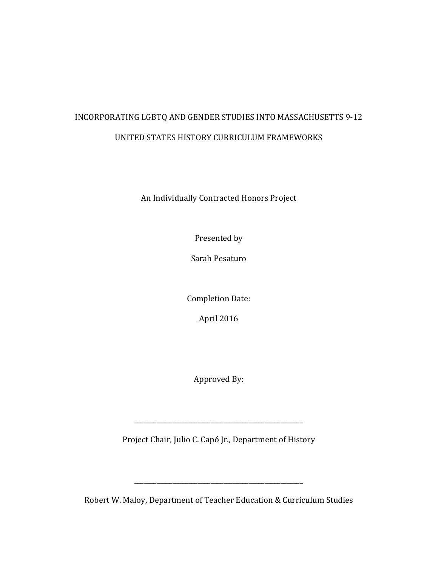# INCORPORATING LGBTQ AND GENDER STUDIES INTO MASSACHUSETTS 9-12 UNITED STATES HISTORY CURRICULUM FRAMEWORKS

An Individually Contracted Honors Project

Presented by

Sarah Pesaturo

Completion Date:

April 2016

Approved By:

Project Chair, Julio C. Capó Jr., Department of History

\_\_\_\_\_\_\_\_\_\_\_\_\_\_\_\_\_\_\_\_\_\_\_\_\_\_\_\_\_\_\_\_\_\_\_\_\_\_\_\_\_\_\_\_\_\_\_\_\_\_\_\_\_

Robert W. Maloy, Department of Teacher Education & Curriculum Studies

\_\_\_\_\_\_\_\_\_\_\_\_\_\_\_\_\_\_\_\_\_\_\_\_\_\_\_\_\_\_\_\_\_\_\_\_\_\_\_\_\_\_\_\_\_\_\_\_\_\_\_\_\_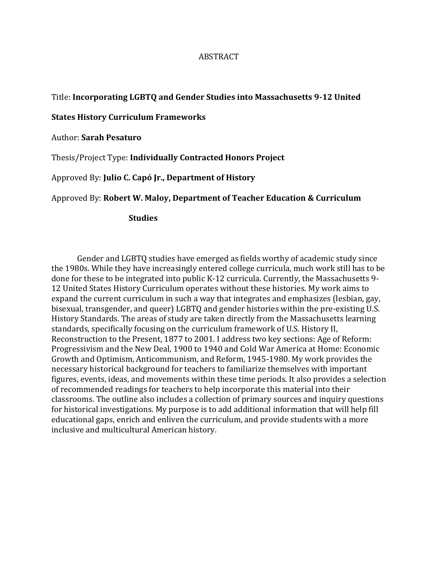#### ABSTRACT

### Title: **Incorporating LGBTQ and Gender Studies into Massachusetts 9-12 United**

**States History Curriculum Frameworks**

Author: **Sarah Pesaturo**

Thesis/Project Type: **Individually Contracted Honors Project**

Approved By: **Julio C. Capó Jr., Department of History**

#### Approved By: **Robert W. Maloy, Department of Teacher Education & Curriculum**

#### **Studies**

Gender and LGBTQ studies have emerged as fields worthy of academic study since the 1980s. While they have increasingly entered college curricula, much work still has to be done for these to be integrated into public K-12 curricula. Currently, the Massachusetts 9- 12 United States History Curriculum operates without these histories. My work aims to expand the current curriculum in such a way that integrates and emphasizes (lesbian, gay, bisexual, transgender, and queer) LGBTQ and gender histories within the pre-existing U.S. History Standards. The areas of study are taken directly from the Massachusetts learning standards, specifically focusing on the curriculum framework of U.S. History II, Reconstruction to the Present, 1877 to 2001. I address two key sections: Age of Reform: Progressivism and the New Deal, 1900 to 1940 and Cold War America at Home: Economic Growth and Optimism, Anticommunism, and Reform, 1945-1980. My work provides the necessary historical background for teachers to familiarize themselves with important figures, events, ideas, and movements within these time periods. It also provides a selection of recommended readings for teachers to help incorporate this material into their classrooms. The outline also includes a collection of primary sources and inquiry questions for historical investigations. My purpose is to add additional information that will help fill educational gaps, enrich and enliven the curriculum, and provide students with a more inclusive and multicultural American history.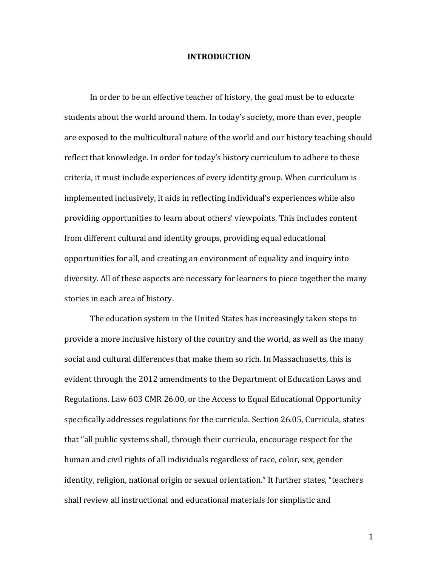#### **INTRODUCTION**

In order to be an effective teacher of history, the goal must be to educate students about the world around them. In today's society, more than ever, people are exposed to the multicultural nature of the world and our history teaching should reflect that knowledge. In order for today's history curriculum to adhere to these criteria, it must include experiences of every identity group. When curriculum is implemented inclusively, it aids in reflecting individual's experiences while also providing opportunities to learn about others' viewpoints. This includes content from different cultural and identity groups, providing equal educational opportunities for all, and creating an environment of equality and inquiry into diversity. All of these aspects are necessary for learners to piece together the many stories in each area of history.

The education system in the United States has increasingly taken steps to provide a more inclusive history of the country and the world, as well as the many social and cultural differences that make them so rich. In Massachusetts, this is evident through the 2012 amendments to the Department of Education Laws and Regulations. Law 603 CMR 26.00, or the Access to Equal Educational Opportunity specifically addresses regulations for the curricula. Section 26.05, Curricula, states that "all public systems shall, through their curricula, encourage respect for the human and civil rights of all individuals regardless of race, color, sex, gender identity, religion, national origin or sexual orientation." It further states, "teachers shall review all instructional and educational materials for simplistic and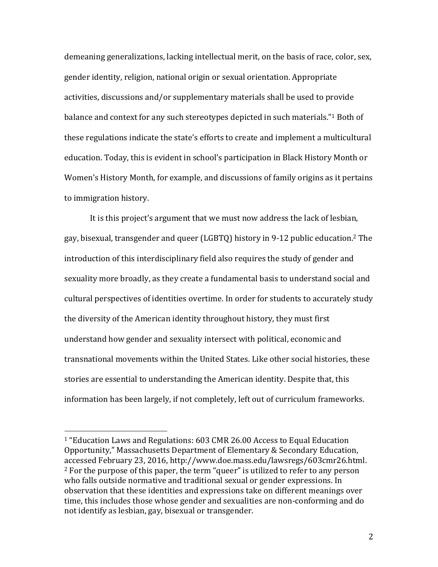demeaning generalizations, lacking intellectual merit, on the basis of race, color, sex, gender identity, religion, national origin or sexual orientation. Appropriate activities, discussions and/or supplementary materials shall be used to provide balance and context for any such stereotypes depicted in such materials."<sup>1</sup> Both of these regulations indicate the state's efforts to create and implement a multicultural education. Today, this is evident in school's participation in Black History Month or Women's History Month, for example, and discussions of family origins as it pertains to immigration history.

It is this project's argument that we must now address the lack of lesbian, gay, bisexual, transgender and queer (LGBTQ) history in 9-12 public education.<sup>2</sup> The introduction of this interdisciplinary field also requires the study of gender and sexuality more broadly, as they create a fundamental basis to understand social and cultural perspectives of identities overtime. In order for students to accurately study the diversity of the American identity throughout history, they must first understand how gender and sexuality intersect with political, economic and transnational movements within the United States. Like other social histories, these stories are essential to understanding the American identity. Despite that, this information has been largely, if not completely, left out of curriculum frameworks.

<sup>1</sup> "Education Laws and Regulations: 603 CMR 26.00 Access to Equal Education Opportunity," Massachusetts Department of Elementary & Secondary Education, accessed February 23, 2016, http://www.doe.mass.edu/lawsregs/603cmr26.html.  $2$  For the purpose of this paper, the term "queer" is utilized to refer to any person who falls outside normative and traditional sexual or gender expressions. In observation that these identities and expressions take on different meanings over time, this includes those whose gender and sexualities are non-conforming and do not identify as lesbian, gay, bisexual or transgender.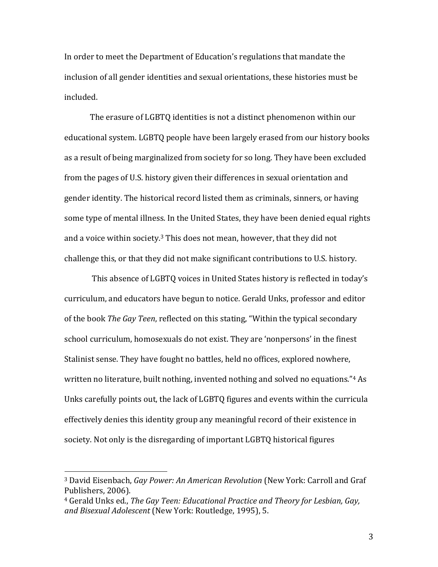In order to meet the Department of Education's regulations that mandate the inclusion of all gender identities and sexual orientations, these histories must be included.

The erasure of LGBTQ identities is not a distinct phenomenon within our educational system. LGBTQ people have been largely erased from our history books as a result of being marginalized from society for so long. They have been excluded from the pages of U.S. history given their differences in sexual orientation and gender identity. The historical record listed them as criminals, sinners, or having some type of mental illness. In the United States, they have been denied equal rights and a voice within society.<sup>3</sup> This does not mean, however, that they did not challenge this, or that they did not make significant contributions to U.S. history.

This absence of LGBTQ voices in United States history is reflected in today's curriculum, and educators have begun to notice. Gerald Unks, professor and editor of the book *The Gay Teen*, reflected on this stating, "Within the typical secondary school curriculum, homosexuals do not exist. They are 'nonpersons' in the finest Stalinist sense. They have fought no battles, held no offices, explored nowhere, written no literature, built nothing, invented nothing and solved no equations." <sup>4</sup> As Unks carefully points out, the lack of LGBTQ figures and events within the curricula effectively denies this identity group any meaningful record of their existence in society. Not only is the disregarding of important LGBTQ historical figures

<sup>3</sup> David Eisenbach, *Gay Power: An American Revolution* (New York: Carroll and Graf Publishers, 2006).

<sup>4</sup> Gerald Unks ed., *The Gay Teen: Educational Practice and Theory for Lesbian, Gay, and Bisexual Adolescent* (New York: Routledge, 1995), 5.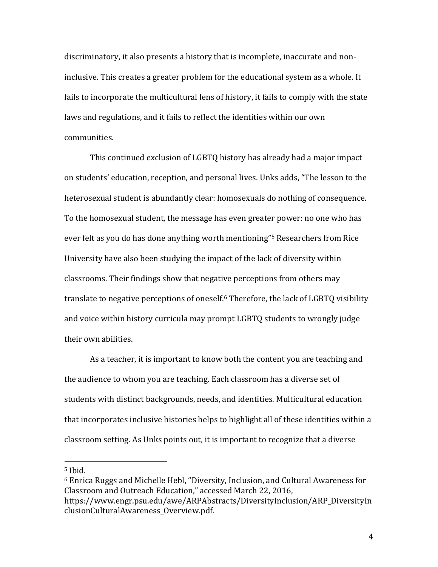discriminatory, it also presents a history that is incomplete, inaccurate and noninclusive. This creates a greater problem for the educational system as a whole. It fails to incorporate the multicultural lens of history, it fails to comply with the state laws and regulations, and it fails to reflect the identities within our own communities.

This continued exclusion of LGBTQ history has already had a major impact on students' education, reception, and personal lives. Unks adds, "The lesson to the heterosexual student is abundantly clear: homosexuals do nothing of consequence. To the homosexual student, the message has even greater power: no one who has ever felt as you do has done anything worth mentioning" <sup>5</sup> Researchers from Rice University have also been studying the impact of the lack of diversity within classrooms. Their findings show that negative perceptions from others may translate to negative perceptions of oneself.<sup>6</sup> Therefore, the lack of LGBTQ visibility and voice within history curricula may prompt LGBTQ students to wrongly judge their own abilities.

As a teacher, it is important to know both the content you are teaching and the audience to whom you are teaching. Each classroom has a diverse set of students with distinct backgrounds, needs, and identities. Multicultural education that incorporates inclusive histories helps to highlight all of these identities within a classroom setting. As Unks points out, it is important to recognize that a diverse

l

<sup>5</sup> Ibid.

<sup>6</sup> Enrica Ruggs and Michelle Hebl, "Diversity, Inclusion, and Cultural Awareness for Classroom and Outreach Education," accessed March 22, 2016, https://www.engr.psu.edu/awe/ARPAbstracts/DiversityInclusion/ARP\_DiversityIn clusionCulturalAwareness\_Overview.pdf.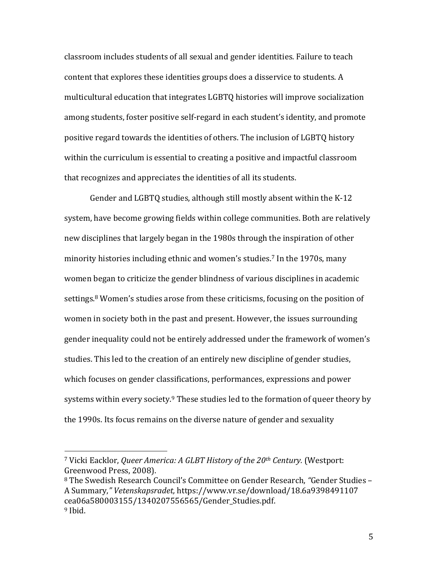classroom includes students of all sexual and gender identities. Failure to teach content that explores these identities groups does a disservice to students. A multicultural education that integrates LGBTQ histories will improve socialization among students, foster positive self-regard in each student's identity, and promote positive regard towards the identities of others. The inclusion of LGBTQ history within the curriculum is essential to creating a positive and impactful classroom that recognizes and appreciates the identities of all its students.

Gender and LGBTQ studies, although still mostly absent within the K-12 system, have become growing fields within college communities. Both are relatively new disciplines that largely began in the 1980s through the inspiration of other minority histories including ethnic and women's studies.<sup>7</sup> In the 1970s, many women began to criticize the gender blindness of various disciplines in academic settings.<sup>8</sup> Women's studies arose from these criticisms, focusing on the position of women in society both in the past and present. However, the issues surrounding gender inequality could not be entirely addressed under the framework of women's studies. This led to the creation of an entirely new discipline of gender studies, which focuses on gender classifications, performances, expressions and power systems within every society.<sup>9</sup> These studies led to the formation of queer theory by the 1990s. Its focus remains on the diverse nature of gender and sexuality

 $\overline{a}$ 

<sup>8</sup> The Swedish Research Council's Committee on Gender Research, *"*Gender Studies – A Summary,*" Vetenskapsradet,* https://www.vr.se/download/18.6a9398491107 cea06a580003155/1340207556565/Gender\_Studies.pdf. <sup>9</sup> Ibid.

<sup>7</sup> Vicki Eacklor, *Queer America: A GLBT History of the 20th Century.* (Westport: Greenwood Press, 2008).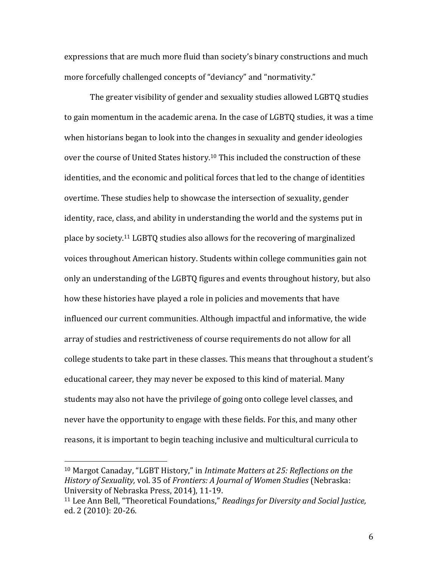expressions that are much more fluid than society's binary constructions and much more forcefully challenged concepts of "deviancy" and "normativity."

The greater visibility of gender and sexuality studies allowed LGBTQ studies to gain momentum in the academic arena. In the case of LGBTQ studies, it was a time when historians began to look into the changes in sexuality and gender ideologies over the course of United States history.<sup>10</sup> This included the construction of these identities, and the economic and political forces that led to the change of identities overtime. These studies help to showcase the intersection of sexuality, gender identity, race, class, and ability in understanding the world and the systems put in place by society.<sup>11</sup> LGBTQ studies also allows for the recovering of marginalized voices throughout American history. Students within college communities gain not only an understanding of the LGBTQ figures and events throughout history, but also how these histories have played a role in policies and movements that have influenced our current communities. Although impactful and informative, the wide array of studies and restrictiveness of course requirements do not allow for all college students to take part in these classes. This means that throughout a student's educational career, they may never be exposed to this kind of material. Many students may also not have the privilege of going onto college level classes, and never have the opportunity to engage with these fields. For this, and many other reasons, it is important to begin teaching inclusive and multicultural curricula to

l

<sup>10</sup> Margot Canaday, "LGBT History," in *Intimate Matters at 25: Reflections on the History of Sexuality,* vol. 35 of *Frontiers: A Journal of Women Studies* (Nebraska: University of Nebraska Press, 2014), 11-19.

<sup>11</sup> Lee Ann Bell, "Theoretical Foundations," *Readings for Diversity and Social Justice,*  ed. 2 (2010): 20-26.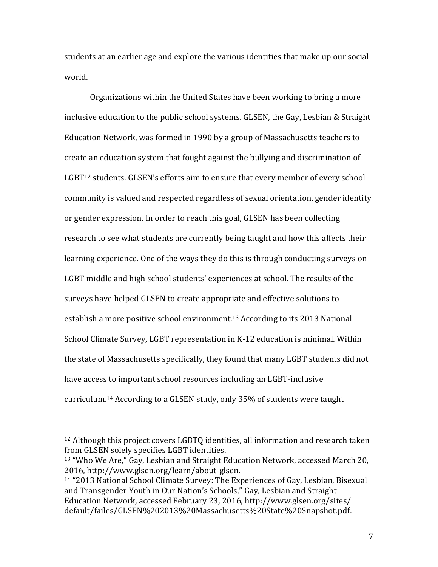students at an earlier age and explore the various identities that make up our social world.

Organizations within the United States have been working to bring a more inclusive education to the public school systems. GLSEN, the Gay, Lesbian & Straight Education Network, was formed in 1990 by a group of Massachusetts teachers to create an education system that fought against the bullying and discrimination of LGBT<sup>12</sup> students. GLSEN's efforts aim to ensure that every member of every school community is valued and respected regardless of sexual orientation, gender identity or gender expression. In order to reach this goal, GLSEN has been collecting research to see what students are currently being taught and how this affects their learning experience. One of the ways they do this is through conducting surveys on LGBT middle and high school students' experiences at school. The results of the surveys have helped GLSEN to create appropriate and effective solutions to establish a more positive school environment.<sup>13</sup> According to its 2013 National School Climate Survey, LGBT representation in K-12 education is minimal. Within the state of Massachusetts specifically, they found that many LGBT students did not have access to important school resources including an LGBT-inclusive curriculum.<sup>14</sup> According to a GLSEN study, only 35% of students were taught

<sup>12</sup> Although this project covers LGBTQ identities, all information and research taken from GLSEN solely specifies LGBT identities.

<sup>13</sup> "Who We Are," Gay, Lesbian and Straight Education Network, accessed March 20, 2016, http://www.glsen.org/learn/about-glsen.

<sup>14</sup> "2013 National School Climate Survey: The Experiences of Gay, Lesbian, Bisexual and Transgender Youth in Our Nation's Schools," Gay, Lesbian and Straight Education Network, accessed February 23, 2016, http://www.glsen.org/sites/ default/failes/GLSEN%202013%20Massachusetts%20State%20Snapshot.pdf.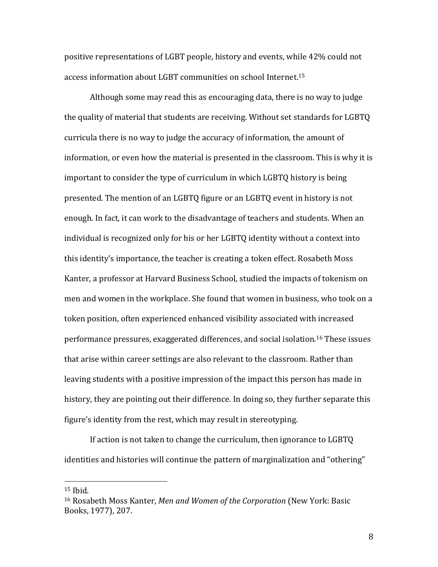positive representations of LGBT people, history and events, while 42% could not access information about LGBT communities on school Internet. 15

Although some may read this as encouraging data, there is no way to judge the quality of material that students are receiving. Without set standards for LGBTQ curricula there is no way to judge the accuracy of information, the amount of information, or even how the material is presented in the classroom. This is why it is important to consider the type of curriculum in which LGBTQ history is being presented. The mention of an LGBTQ figure or an LGBTQ event in history is not enough. In fact, it can work to the disadvantage of teachers and students. When an individual is recognized only for his or her LGBTQ identity without a context into this identity's importance, the teacher is creating a token effect. Rosabeth Moss Kanter, a professor at Harvard Business School, studied the impacts of tokenism on men and women in the workplace. She found that women in business, who took on a token position, often experienced enhanced visibility associated with increased performance pressures, exaggerated differences, and social isolation.<sup>16</sup> These issues that arise within career settings are also relevant to the classroom. Rather than leaving students with a positive impression of the impact this person has made in history, they are pointing out their difference. In doing so, they further separate this figure's identity from the rest, which may result in stereotyping.

If action is not taken to change the curriculum, then ignorance to LGBTQ identities and histories will continue the pattern of marginalization and "othering"

<sup>15</sup> Ibid.

 $\overline{a}$ 

<sup>16</sup> Rosabeth Moss Kanter, *Men and Women of the Corporation* (New York: Basic Books, 1977), 207.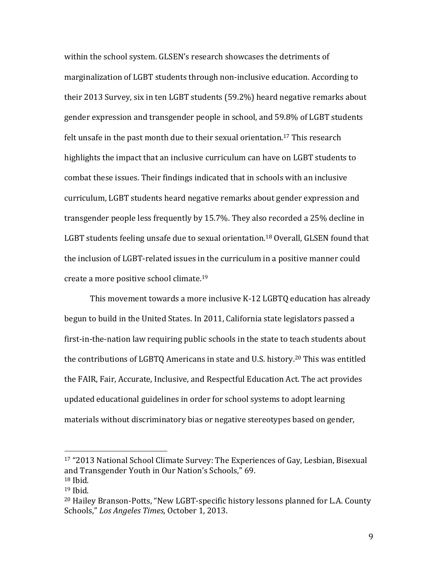within the school system. GLSEN's research showcases the detriments of marginalization of LGBT students through non-inclusive education. According to their 2013 Survey, six in ten LGBT students (59.2%) heard negative remarks about gender expression and transgender people in school, and 59.8% of LGBT students felt unsafe in the past month due to their sexual orientation.<sup>17</sup> This research highlights the impact that an inclusive curriculum can have on LGBT students to combat these issues. Their findings indicated that in schools with an inclusive curriculum, LGBT students heard negative remarks about gender expression and transgender people less frequently by 15.7%. They also recorded a 25% decline in LGBT students feeling unsafe due to sexual orientation.<sup>18</sup> Overall, GLSEN found that the inclusion of LGBT-related issues in the curriculum in a positive manner could create a more positive school climate.<sup>19</sup>

This movement towards a more inclusive K-12 LGBTQ education has already begun to build in the United States. In 2011, California state legislators passed a first-in-the-nation law requiring public schools in the state to teach students about the contributions of LGBTQ Americans in state and U.S. history.<sup>20</sup> This was entitled the FAIR, Fair, Accurate, Inclusive, and Respectful Education Act. The act provides updated educational guidelines in order for school systems to adopt learning materials without discriminatory bias or negative stereotypes based on gender,

<sup>17</sup> "2013 National School Climate Survey: The Experiences of Gay, Lesbian, Bisexual and Transgender Youth in Our Nation's Schools," 69. <sup>18</sup> Ibid.

<sup>19</sup> Ibid.

<sup>20</sup> Hailey Branson-Potts, "New LGBT-specific history lessons planned for L.A. County Schools," *Los Angeles Times,* October 1, 2013.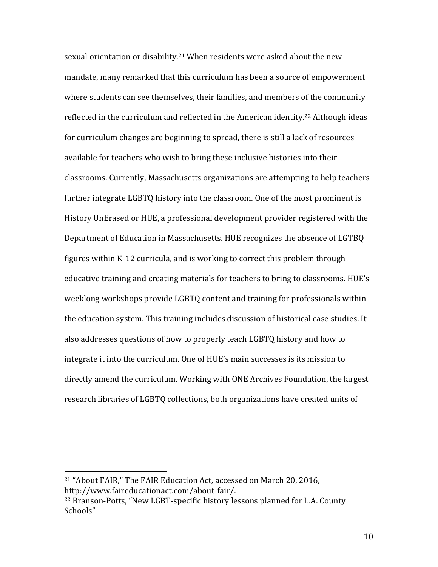sexual orientation or disability.<sup>21</sup> When residents were asked about the new mandate, many remarked that this curriculum has been a source of empowerment where students can see themselves, their families, and members of the community reflected in the curriculum and reflected in the American identity.<sup>22</sup> Although ideas for curriculum changes are beginning to spread, there is still a lack of resources available for teachers who wish to bring these inclusive histories into their classrooms. Currently, Massachusetts organizations are attempting to help teachers further integrate LGBTQ history into the classroom. One of the most prominent is History UnErased or HUE, a professional development provider registered with the Department of Education in Massachusetts. HUE recognizes the absence of LGTBQ figures within K-12 curricula, and is working to correct this problem through educative training and creating materials for teachers to bring to classrooms. HUE's weeklong workshops provide LGBTQ content and training for professionals within the education system. This training includes discussion of historical case studies. It also addresses questions of how to properly teach LGBTQ history and how to integrate it into the curriculum. One of HUE's main successes is its mission to directly amend the curriculum. Working with ONE Archives Foundation, the largest research libraries of LGBTQ collections, both organizations have created units of

<sup>21</sup> "About FAIR," The FAIR Education Act*,* accessed on March 20, 2016, http://www.faireducationact.com/about-fair/.

<sup>&</sup>lt;sup>22</sup> Branson-Potts, "New LGBT-specific history lessons planned for L.A. County Schools"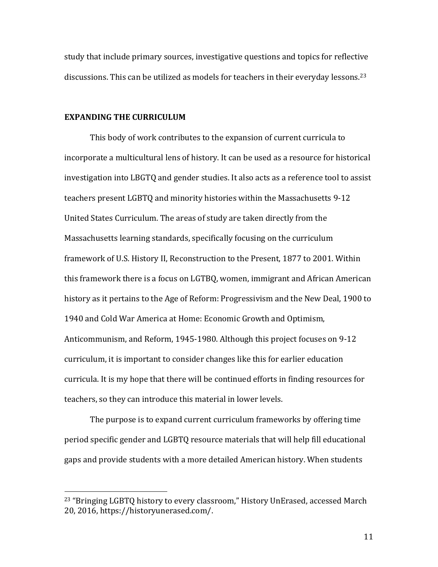study that include primary sources, investigative questions and topics for reflective discussions. This can be utilized as models for teachers in their everyday lessons.<sup>23</sup>

#### **EXPANDING THE CURRICULUM**

 $\overline{a}$ 

This body of work contributes to the expansion of current curricula to incorporate a multicultural lens of history. It can be used as a resource for historical investigation into LBGTQ and gender studies. It also acts as a reference tool to assist teachers present LGBTQ and minority histories within the Massachusetts 9-12 United States Curriculum. The areas of study are taken directly from the Massachusetts learning standards, specifically focusing on the curriculum framework of U.S. History II, Reconstruction to the Present, 1877 to 2001. Within this framework there is a focus on LGTBQ, women, immigrant and African American history as it pertains to the Age of Reform: Progressivism and the New Deal, 1900 to 1940 and Cold War America at Home: Economic Growth and Optimism, Anticommunism, and Reform, 1945-1980. Although this project focuses on 9-12 curriculum, it is important to consider changes like this for earlier education curricula. It is my hope that there will be continued efforts in finding resources for teachers, so they can introduce this material in lower levels.

The purpose is to expand current curriculum frameworks by offering time period specific gender and LGBTQ resource materials that will help fill educational gaps and provide students with a more detailed American history. When students

<sup>23</sup> "Bringing LGBTQ history to every classroom," History UnErased, accessed March 20, 2016, https://historyunerased.com/.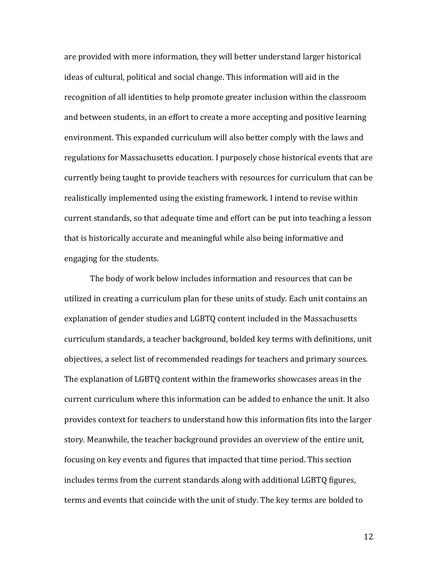are provided with more information, they will better understand larger historical ideas of cultural, political and social change. This information will aid in the recognition of all identities to help promote greater inclusion within the classroom and between students, in an effort to create a more accepting and positive learning environment. This expanded curriculum will also better comply with the laws and regulations for Massachusetts education. I purposely chose historical events that are currently being taught to provide teachers with resources for curriculum that can be realistically implemented using the existing framework. I intend to revise within current standards, so that adequate time and effort can be put into teaching a lesson that is historically accurate and meaningful while also being informative and engaging for the students.

The body of work below includes information and resources that can be utilized in creating a curriculum plan for these units of study. Each unit contains an explanation of gender studies and LGBTQ content included in the Massachusetts curriculum standards, a teacher background, bolded key terms with definitions, unit objectives, a select list of recommended readings for teachers and primary sources. The explanation of LGBTQ content within the frameworks showcases areas in the current curriculum where this information can be added to enhance the unit. It also provides context for teachers to understand how this information fits into the larger story. Meanwhile, the teacher background provides an overview of the entire unit, focusing on key events and figures that impacted that time period. This section includes terms from the current standards along with additional LGBTQ figures, terms and events that coincide with the unit of study. The key terms are bolded to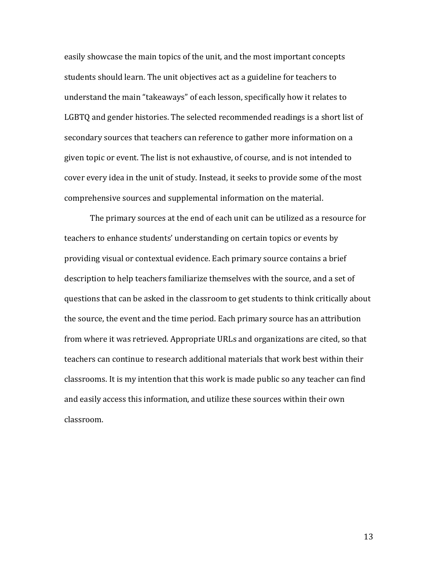easily showcase the main topics of the unit, and the most important concepts students should learn. The unit objectives act as a guideline for teachers to understand the main "takeaways" of each lesson, specifically how it relates to LGBTQ and gender histories. The selected recommended readings is a short list of secondary sources that teachers can reference to gather more information on a given topic or event. The list is not exhaustive, of course, and is not intended to cover every idea in the unit of study. Instead, it seeks to provide some of the most comprehensive sources and supplemental information on the material.

The primary sources at the end of each unit can be utilized as a resource for teachers to enhance students' understanding on certain topics or events by providing visual or contextual evidence. Each primary source contains a brief description to help teachers familiarize themselves with the source, and a set of questions that can be asked in the classroom to get students to think critically about the source, the event and the time period. Each primary source has an attribution from where it was retrieved. Appropriate URLs and organizations are cited, so that teachers can continue to research additional materials that work best within their classrooms. It is my intention that this work is made public so any teacher can find and easily access this information, and utilize these sources within their own classroom.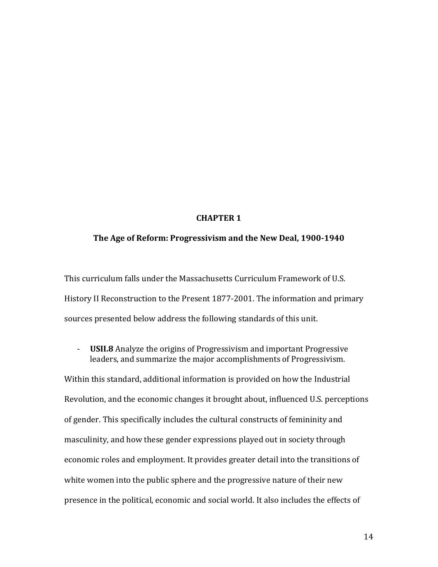### **CHAPTER 1**

#### **The Age of Reform: Progressivism and the New Deal, 1900-1940**

This curriculum falls under the Massachusetts Curriculum Framework of U.S. History II Reconstruction to the Present 1877-2001. The information and primary sources presented below address the following standards of this unit.

- **USII.8** Analyze the origins of Progressivism and important Progressive leaders, and summarize the major accomplishments of Progressivism.

Within this standard, additional information is provided on how the Industrial Revolution, and the economic changes it brought about, influenced U.S. perceptions of gender. This specifically includes the cultural constructs of femininity and masculinity, and how these gender expressions played out in society through economic roles and employment. It provides greater detail into the transitions of white women into the public sphere and the progressive nature of their new presence in the political, economic and social world. It also includes the effects of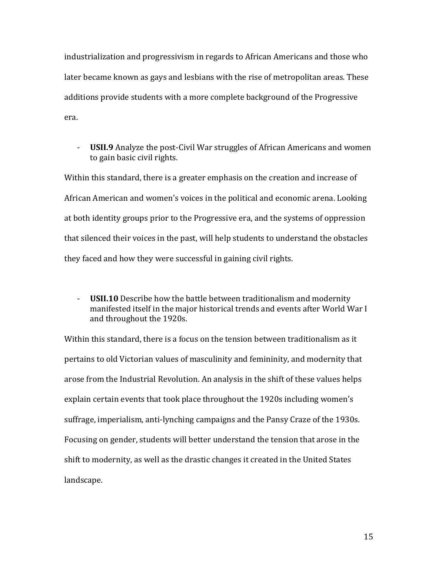industrialization and progressivism in regards to African Americans and those who later became known as gays and lesbians with the rise of metropolitan areas. These additions provide students with a more complete background of the Progressive era.

- **USII.9** Analyze the post-Civil War struggles of African Americans and women to gain basic civil rights.

Within this standard, there is a greater emphasis on the creation and increase of African American and women's voices in the political and economic arena. Looking at both identity groups prior to the Progressive era, and the systems of oppression that silenced their voices in the past, will help students to understand the obstacles they faced and how they were successful in gaining civil rights.

- **USII.10** Describe how the battle between traditionalism and modernity manifested itself in the major historical trends and events after World War I and throughout the 1920s.

Within this standard, there is a focus on the tension between traditionalism as it pertains to old Victorian values of masculinity and femininity, and modernity that arose from the Industrial Revolution. An analysis in the shift of these values helps explain certain events that took place throughout the 1920s including women's suffrage, imperialism, anti-lynching campaigns and the Pansy Craze of the 1930s. Focusing on gender, students will better understand the tension that arose in the shift to modernity, as well as the drastic changes it created in the United States landscape.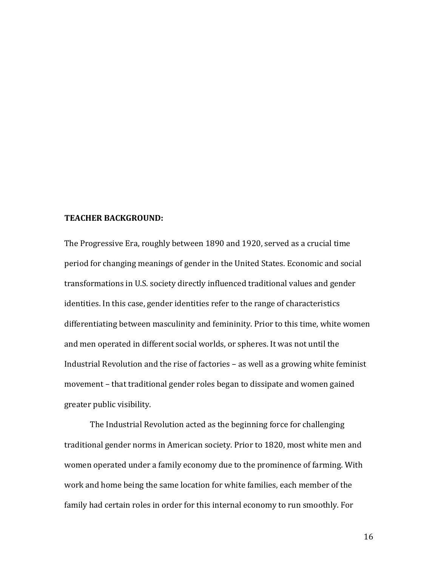#### **TEACHER BACKGROUND:**

The Progressive Era, roughly between 1890 and 1920, served as a crucial time period for changing meanings of gender in the United States. Economic and social transformations in U.S. society directly influenced traditional values and gender identities. In this case, gender identities refer to the range of characteristics differentiating between masculinity and femininity. Prior to this time, white women and men operated in different social worlds, or spheres. It was not until the Industrial Revolution and the rise of factories – as well as a growing white feminist movement – that traditional gender roles began to dissipate and women gained greater public visibility.

The Industrial Revolution acted as the beginning force for challenging traditional gender norms in American society. Prior to 1820, most white men and women operated under a family economy due to the prominence of farming. With work and home being the same location for white families, each member of the family had certain roles in order for this internal economy to run smoothly. For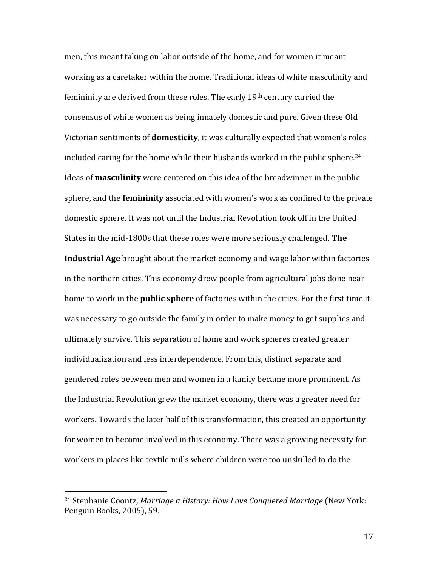men, this meant taking on labor outside of the home, and for women it meant working as a caretaker within the home. Traditional ideas of white masculinity and femininity are derived from these roles. The early 19<sup>th</sup> century carried the consensus of white women as being innately domestic and pure. Given these Old Victorian sentiments of **domesticity**, it was culturally expected that women's roles included caring for the home while their husbands worked in the public sphere.<sup>24</sup> Ideas of **masculinity** were centered on this idea of the breadwinner in the public sphere, and the **femininity** associated with women's work as confined to the private domestic sphere. It was not until the Industrial Revolution took off in the United States in the mid-1800s that these roles were more seriously challenged. **The Industrial Age** brought about the market economy and wage labor within factories in the northern cities. This economy drew people from agricultural jobs done near home to work in the **public sphere** of factories within the cities. For the first time it was necessary to go outside the family in order to make money to get supplies and ultimately survive. This separation of home and work spheres created greater individualization and less interdependence. From this, distinct separate and gendered roles between men and women in a family became more prominent. As the Industrial Revolution grew the market economy, there was a greater need for workers. Towards the later half of this transformation, this created an opportunity for women to become involved in this economy. There was a growing necessity for workers in places like textile mills where children were too unskilled to do the

<sup>24</sup> Stephanie Coontz, *Marriage a History: How Love Conquered Marriage* (New York: Penguin Books, 2005), 59.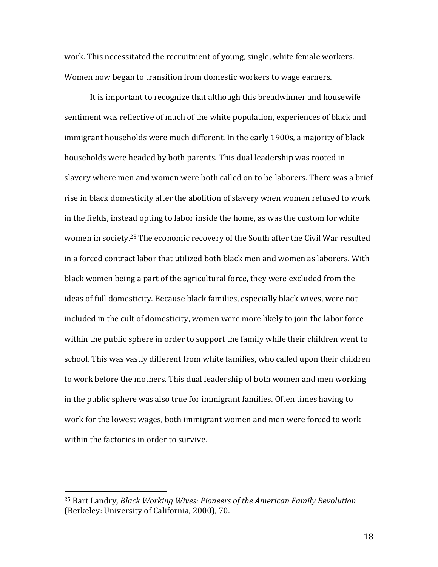work. This necessitated the recruitment of young, single, white female workers. Women now began to transition from domestic workers to wage earners.

It is important to recognize that although this breadwinner and housewife sentiment was reflective of much of the white population, experiences of black and immigrant households were much different. In the early 1900s, a majority of black households were headed by both parents. This dual leadership was rooted in slavery where men and women were both called on to be laborers. There was a brief rise in black domesticity after the abolition of slavery when women refused to work in the fields, instead opting to labor inside the home, as was the custom for white women in society.<sup>25</sup> The economic recovery of the South after the Civil War resulted in a forced contract labor that utilized both black men and women as laborers. With black women being a part of the agricultural force, they were excluded from the ideas of full domesticity. Because black families, especially black wives, were not included in the cult of domesticity, women were more likely to join the labor force within the public sphere in order to support the family while their children went to school. This was vastly different from white families, who called upon their children to work before the mothers. This dual leadership of both women and men working in the public sphere was also true for immigrant families. Often times having to work for the lowest wages, both immigrant women and men were forced to work within the factories in order to survive.

<sup>25</sup> Bart Landry, *Black Working Wives: Pioneers of the American Family Revolution*  (Berkeley: University of California, 2000), 70.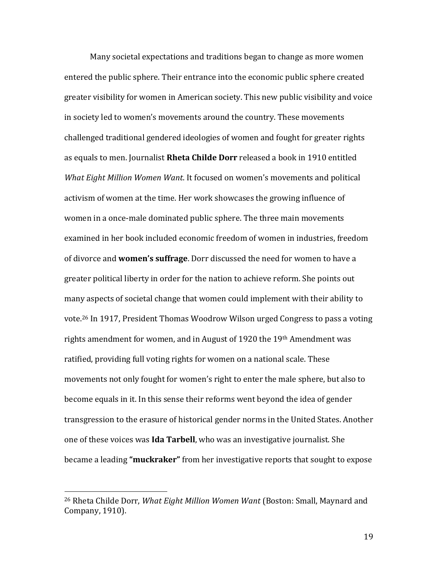Many societal expectations and traditions began to change as more women entered the public sphere. Their entrance into the economic public sphere created greater visibility for women in American society. This new public visibility and voice in society led to women's movements around the country. These movements challenged traditional gendered ideologies of women and fought for greater rights as equals to men. Journalist **Rheta Childe Dorr** released a book in 1910 entitled *What Eight Million Women Want*. It focused on women's movements and political activism of women at the time. Her work showcases the growing influence of women in a once-male dominated public sphere. The three main movements examined in her book included economic freedom of women in industries, freedom of divorce and **women's suffrage**. Dorr discussed the need for women to have a greater political liberty in order for the nation to achieve reform. She points out many aspects of societal change that women could implement with their ability to vote.<sup>26</sup> In 1917, President Thomas Woodrow Wilson urged Congress to pass a voting rights amendment for women, and in August of 1920 the 19th Amendment was ratified, providing full voting rights for women on a national scale. These movements not only fought for women's right to enter the male sphere, but also to become equals in it. In this sense their reforms went beyond the idea of gender transgression to the erasure of historical gender norms in the United States. Another one of these voices was **Ida Tarbell**, who was an investigative journalist. She became a leading **"muckraker"** from her investigative reports that sought to expose

<sup>26</sup> Rheta Childe Dorr, *What Eight Million Women Want* (Boston: Small, Maynard and Company, 1910).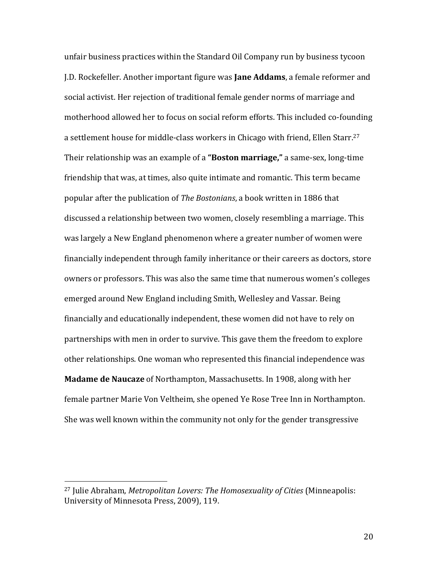unfair business practices within the Standard Oil Company run by business tycoon J.D. Rockefeller. Another important figure was **Jane Addams**, a female reformer and social activist. Her rejection of traditional female gender norms of marriage and motherhood allowed her to focus on social reform efforts. This included co-founding a settlement house for middle-class workers in Chicago with friend, Ellen Starr.<sup>27</sup> Their relationship was an example of a **"Boston marriage,"** a same-sex, long-time friendship that was, at times, also quite intimate and romantic. This term became popular after the publication of *The Bostonians*, a book written in 1886 that discussed a relationship between two women, closely resembling a marriage. This was largely a New England phenomenon where a greater number of women were financially independent through family inheritance or their careers as doctors, store owners or professors. This was also the same time that numerous women's colleges emerged around New England including Smith, Wellesley and Vassar. Being financially and educationally independent, these women did not have to rely on partnerships with men in order to survive. This gave them the freedom to explore other relationships. One woman who represented this financial independence was **Madame de Naucaze** of Northampton, Massachusetts. In 1908, along with her female partner Marie Von Veltheim, she opened Ye Rose Tree Inn in Northampton. She was well known within the community not only for the gender transgressive

<sup>27</sup> Julie Abraham, *Metropolitan Lovers: The Homosexuality of Cities* (Minneapolis: University of Minnesota Press, 2009), 119.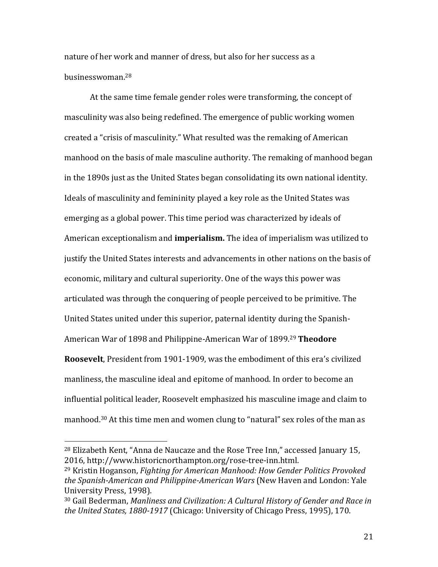nature of her work and manner of dress, but also for her success as a businesswoman.<sup>28</sup>

At the same time female gender roles were transforming, the concept of masculinity was also being redefined. The emergence of public working women created a "crisis of masculinity." What resulted was the remaking of American manhood on the basis of male masculine authority. The remaking of manhood began in the 1890s just as the United States began consolidating its own national identity. Ideals of masculinity and femininity played a key role as the United States was emerging as a global power. This time period was characterized by ideals of American exceptionalism and **imperialism.** The idea of imperialism was utilized to justify the United States interests and advancements in other nations on the basis of economic, military and cultural superiority. One of the ways this power was articulated was through the conquering of people perceived to be primitive. The United States united under this superior, paternal identity during the Spanish-American War of 1898 and Philippine-American War of 1899.<sup>29</sup> **Theodore Roosevelt**, President from 1901-1909, was the embodiment of this era's civilized manliness, the masculine ideal and epitome of manhood. In order to become an influential political leader, Roosevelt emphasized his masculine image and claim to manhood.<sup>30</sup> At this time men and women clung to "natural" sex roles of the man as

<sup>28</sup> Elizabeth Kent, "Anna de Naucaze and the Rose Tree Inn," accessed January 15, 2016, http://www.historicnorthampton.org/rose-tree-inn.html.

<sup>29</sup> Kristin Hoganson, *Fighting for American Manhood: How Gender Politics Provoked the Spanish-American and Philippine-American Wars* (New Haven and London: Yale University Press, 1998).

<sup>30</sup> Gail Bederman, *Manliness and Civilization: A Cultural History of Gender and Race in the United States, 1880-1917* (Chicago: University of Chicago Press, 1995), 170.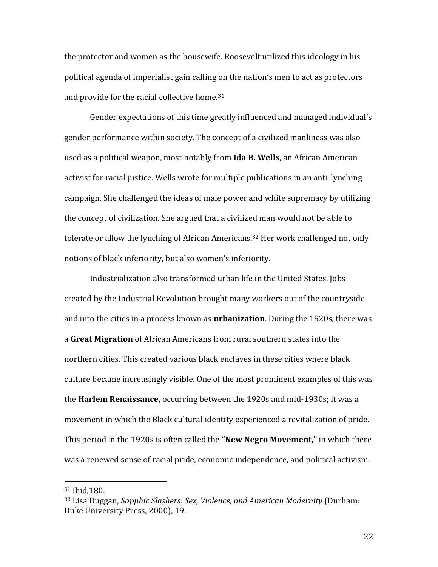the protector and women as the housewife. Roosevelt utilized this ideology in his political agenda of imperialist gain calling on the nation's men to act as protectors and provide for the racial collective home.<sup>31</sup>

Gender expectations of this time greatly influenced and managed individual's gender performance within society. The concept of a civilized manliness was also used as a political weapon, most notably from **Ida B. Wells**, an African American activist for racial justice. Wells wrote for multiple publications in an anti-lynching campaign. She challenged the ideas of male power and white supremacy by utilizing the concept of civilization. She argued that a civilized man would not be able to tolerate or allow the lynching of African Americans.<sup>32</sup> Her work challenged not only notions of black inferiority, but also women's inferiority.

Industrialization also transformed urban life in the United States. Jobs created by the Industrial Revolution brought many workers out of the countryside and into the cities in a process known as **urbanization**. During the 1920s, there was a **Great Migration** of African Americans from rural southern states into the northern cities. This created various black enclaves in these cities where black culture became increasingly visible. One of the most prominent examples of this was the **Harlem Renaissance,** occurring between the 1920s and mid-1930s; it was a movement in which the Black cultural identity experienced a revitalization of pride. This period in the 1920s is often called the **"New Negro Movement,"** in which there was a renewed sense of racial pride, economic independence, and political activism.

<sup>31</sup> Ibid,180.

<sup>32</sup> Lisa Duggan, *Sapphic Slashers: Sex, Violence, and American Modernity* (Durham: Duke University Press, 2000), 19.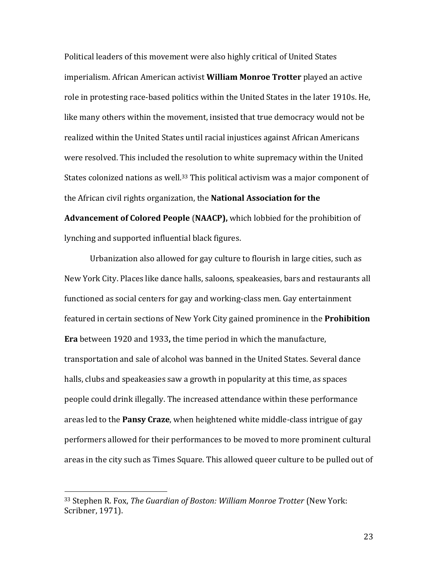Political leaders of this movement were also highly critical of United States imperialism. African American activist **William Monroe Trotter** played an active role in protesting race-based politics within the United States in the later 1910s. He, like many others within the movement, insisted that true democracy would not be realized within the United States until racial injustices against African Americans were resolved. This included the resolution to white supremacy within the United States colonized nations as well.<sup>33</sup> This political activism was a major component of the African civil rights organization, the **National Association for the Advancement of Colored People** (**NAACP),** which lobbied for the prohibition of lynching and supported influential black figures.

Urbanization also allowed for gay culture to flourish in large cities, such as New York City. Places like dance halls, saloons, speakeasies, bars and restaurants all functioned as social centers for gay and working-class men. Gay entertainment featured in certain sections of New York City gained prominence in the **Prohibition Era** between 1920 and 1933**,** the time period in which the manufacture, transportation and sale of alcohol was banned in the United States. Several dance halls, clubs and speakeasies saw a growth in popularity at this time, as spaces people could drink illegally. The increased attendance within these performance areas led to the **Pansy Craze**, when heightened white middle-class intrigue of gay performers allowed for their performances to be moved to more prominent cultural areas in the city such as Times Square. This allowed queer culture to be pulled out of

<sup>33</sup> Stephen R. Fox, *The Guardian of Boston: William Monroe Trotter* (New York: Scribner, 1971).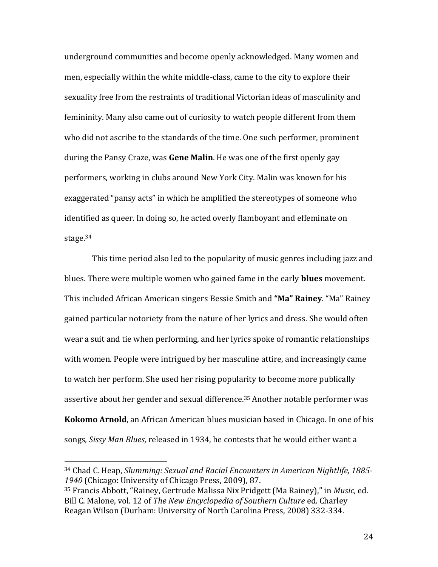underground communities and become openly acknowledged. Many women and men, especially within the white middle-class, came to the city to explore their sexuality free from the restraints of traditional Victorian ideas of masculinity and femininity. Many also came out of curiosity to watch people different from them who did not ascribe to the standards of the time. One such performer, prominent during the Pansy Craze, was **Gene Malin**. He was one of the first openly gay performers, working in clubs around New York City. Malin was known for his exaggerated "pansy acts" in which he amplified the stereotypes of someone who identified as queer. In doing so, he acted overly flamboyant and effeminate on stage. 34

This time period also led to the popularity of music genres including jazz and blues. There were multiple women who gained fame in the early **blues** movement. This included African American singers Bessie Smith and **"Ma" Rainey**. "Ma" Rainey gained particular notoriety from the nature of her lyrics and dress. She would often wear a suit and tie when performing, and her lyrics spoke of romantic relationships with women. People were intrigued by her masculine attire, and increasingly came to watch her perform. She used her rising popularity to become more publically assertive about her gender and sexual difference.<sup>35</sup> Another notable performer was **Kokomo Arnold**, an African American blues musician based in Chicago. In one of his songs, *Sissy Man Blues,* released in 1934, he contests that he would either want a

l

<sup>34</sup> Chad C. Heap, *Slumming: Sexual and Racial Encounters in American Nightlife, 1885- 1940* (Chicago: University of Chicago Press, 2009), 87.

<sup>35</sup> Francis Abbott, "Rainey, Gertrude Malissa Nix Pridgett (Ma Rainey)," in *Music,* ed. Bill C. Malone, vol. 12 of *The New Encyclopedia of Southern Culture* ed. Charley Reagan Wilson (Durham: University of North Carolina Press, 2008) 332-334.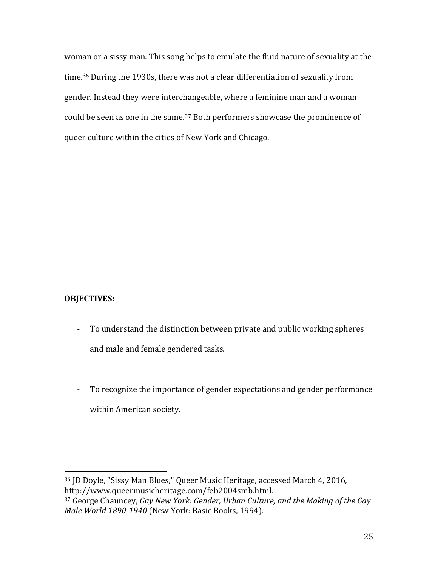woman or a sissy man. This song helps to emulate the fluid nature of sexuality at the time.<sup>36</sup> During the 1930s, there was not a clear differentiation of sexuality from gender. Instead they were interchangeable, where a feminine man and a woman could be seen as one in the same.<sup>37</sup> Both performers showcase the prominence of queer culture within the cities of New York and Chicago.

#### **OBJECTIVES:**

- To understand the distinction between private and public working spheres and male and female gendered tasks.
- To recognize the importance of gender expectations and gender performance within American society.

<sup>36</sup> JD Doyle, "Sissy Man Blues," Queer Music Heritage, accessed March 4, 2016, http://www.queermusicheritage.com/feb2004smb.html.

<sup>37</sup> George Chauncey, *Gay New York: Gender, Urban Culture, and the Making of the Gay Male World 1890-1940* (New York: Basic Books, 1994).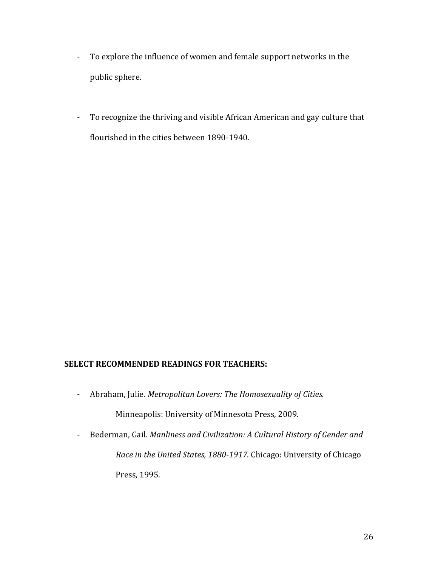- To explore the influence of women and female support networks in the public sphere.
- To recognize the thriving and visible African American and gay culture that flourished in the cities between 1890-1940.

#### **SELECT RECOMMENDED READINGS FOR TEACHERS:**

- Abraham, Julie. *Metropolitan Lovers: The Homosexuality of Cities.*  Minneapolis: University of Minnesota Press, 2009.
- Bederman, Gail. *Manliness and Civilization: A Cultural History of Gender and Race in the United States, 1880-1917.* Chicago: University of Chicago Press, 1995.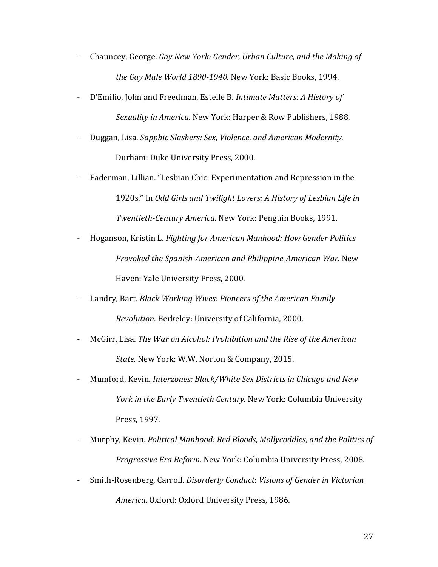- Chauncey, George. *Gay New York: Gender, Urban Culture, and the Making of the Gay Male World 1890-1940.* New York: Basic Books, 1994.
- D'Emilio, John and Freedman, Estelle B. *Intimate Matters: A History of Sexuality in America.* New York: Harper & Row Publishers, 1988.
- Duggan, Lisa. *Sapphic Slashers: Sex, Violence, and American Modernity.*  Durham: Duke University Press, 2000.
- Faderman, Lillian. "Lesbian Chic: Experimentation and Repression in the 1920s." In *Odd Girls and Twilight Lovers: A History of Lesbian Life in Twentieth-Century America.* New York: Penguin Books, 1991.
- Hoganson, Kristin L. *Fighting for American Manhood: How Gender Politics Provoked the Spanish-American and Philippine-American War.* New Haven: Yale University Press, 2000.
- Landry, Bart. *Black Working Wives: Pioneers of the American Family Revolution.* Berkeley: University of California, 2000.
- McGirr, Lisa. *The War on Alcohol: Prohibition and the Rise of the American State.* New York: W.W. Norton & Company, 2015.
- Mumford, Kevin. *Interzones: Black/White Sex Districts in Chicago and New York in the Early Twentieth Century.* New York: Columbia University Press, 1997.
- Murphy, Kevin. *Political Manhood: Red Bloods, Mollycoddles, and the Politics of Progressive Era Reform.* New York: Columbia University Press, 2008.
- Smith-Rosenberg, Carroll. *Disorderly Conduct*: *Visions of Gender in Victorian America.* Oxford: Oxford University Press, 1986.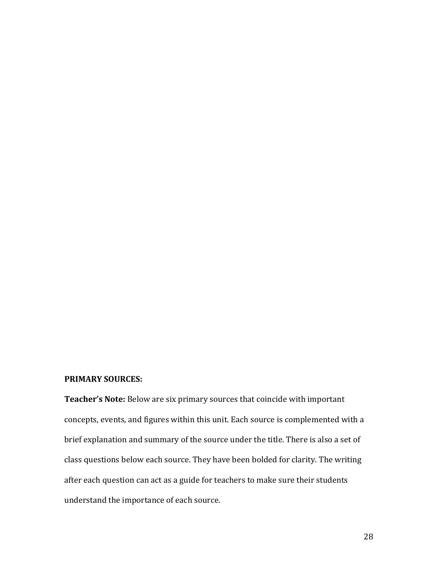## **PRIMARY SOURCES:**

**Teacher's Note:** Below are six primary sources that coincide with important concepts, events, and figures within this unit. Each source is complemented with a brief explanation and summary of the source under the title. There is also a set of class questions below each source. They have been bolded for clarity. The writing after each question can act as a guide for teachers to make sure their students understand the importance of each source.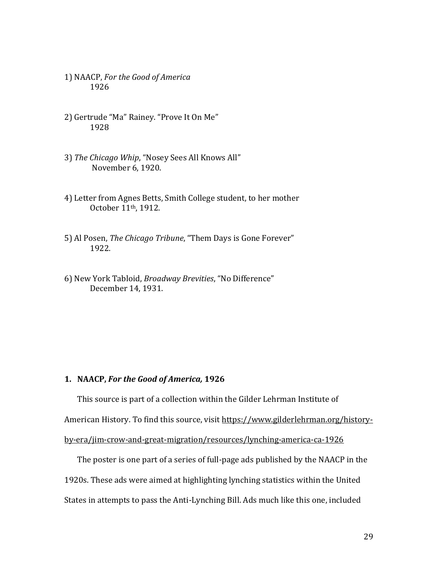- 1) NAACP, *For the Good of America*  1926
- 2) Gertrude "Ma" Rainey. "Prove It On Me" 1928
- 3) *The Chicago Whip*, "Nosey Sees All Knows All" November 6, 1920.
- 4) Letter from Agnes Betts, Smith College student, to her mother October 11th, 1912.
- 5) Al Posen, *The Chicago Tribune*, "Them Days is Gone Forever" 1922.
- 6) New York Tabloid, *Broadway Brevities*, "No Difference" December 14, 1931.

## **1. NAACP,** *For the Good of America,* **1926**

This source is part of a collection within the Gilder Lehrman Institute of

American History. To find this source, visit [https://www.gilderlehrman.org/history-](https://www.gilderlehrman.org/history-by-era/jim-crow-and-great-migration/resources/lynching-america-ca-1926)

[by-era/jim-crow-and-great-migration/resources/lynching-america-ca-1926](https://www.gilderlehrman.org/history-by-era/jim-crow-and-great-migration/resources/lynching-america-ca-1926)

The poster is one part of a series of full-page ads published by the NAACP in the 1920s. These ads were aimed at highlighting lynching statistics within the United

States in attempts to pass the Anti-Lynching Bill. Ads much like this one, included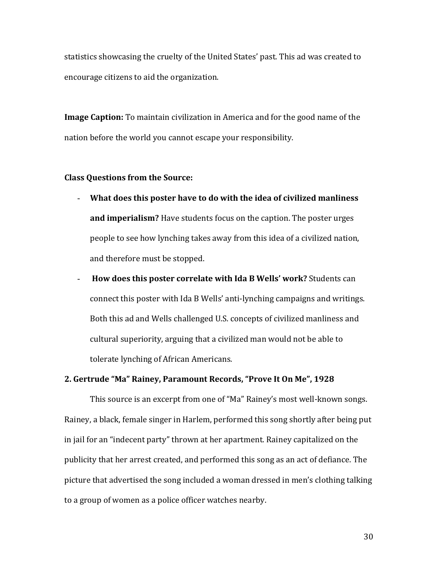statistics showcasing the cruelty of the United States' past. This ad was created to encourage citizens to aid the organization.

**Image Caption:** To maintain civilization in America and for the good name of the nation before the world you cannot escape your responsibility.

#### **Class Questions from the Source:**

- **What does this poster have to do with the idea of civilized manliness and imperialism?** Have students focus on the caption. The poster urges people to see how lynching takes away from this idea of a civilized nation, and therefore must be stopped.
- **How does this poster correlate with Ida B Wells' work?** Students can connect this poster with Ida B Wells' anti-lynching campaigns and writings. Both this ad and Wells challenged U.S. concepts of civilized manliness and cultural superiority, arguing that a civilized man would not be able to tolerate lynching of African Americans.

### **2. Gertrude "Ma" Rainey, Paramount Records, "Prove It On Me", 1928**

This source is an excerpt from one of "Ma" Rainey's most well-known songs. Rainey, a black, female singer in Harlem, performed this song shortly after being put in jail for an "indecent party" thrown at her apartment. Rainey capitalized on the publicity that her arrest created, and performed this song as an act of defiance. The picture that advertised the song included a woman dressed in men's clothing talking to a group of women as a police officer watches nearby.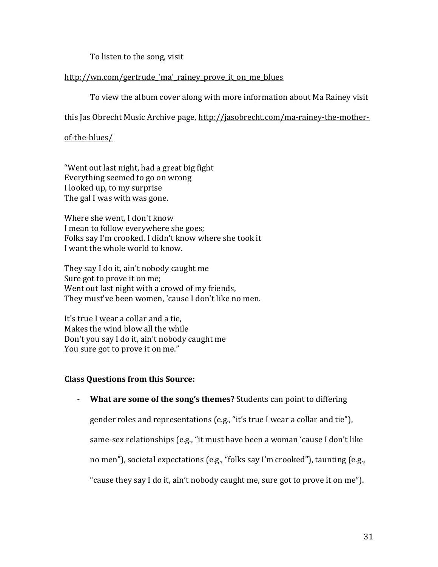To listen to the song, visit

## http://wn.com/gertrude 'ma' rainey prove it on me blues

To view the album cover along with more information about Ma Rainey visit

this Jas Obrecht Music Archive page, [http://jasobrecht.com/ma-rainey-the-mother-](http://jasobrecht.com/ma-rainey-the-mother-of-the-blues/)

[of-the-blues/](http://jasobrecht.com/ma-rainey-the-mother-of-the-blues/)

"Went out last night, had a great big fight Everything seemed to go on wrong I looked up, to my surprise The gal I was with was gone.

Where she went, I don't know I mean to follow everywhere she goes; Folks say I'm crooked. I didn't know where she took it I want the whole world to know.

They say I do it, ain't nobody caught me Sure got to prove it on me; Went out last night with a crowd of my friends, They must've been women, 'cause I don't like no men.

It's true I wear a collar and a tie, Makes the wind blow all the while Don't you say I do it, ain't nobody caught me You sure got to prove it on me."

## **Class Questions from this Source:**

- **What are some of the song's themes?** Students can point to differing

gender roles and representations (e.g., "it's true I wear a collar and tie"),

same-sex relationships (e.g., "it must have been a woman 'cause I don't like

no men"), societal expectations (e.g., "folks say I'm crooked"), taunting (e.g.,

"cause they say I do it, ain't nobody caught me, sure got to prove it on me").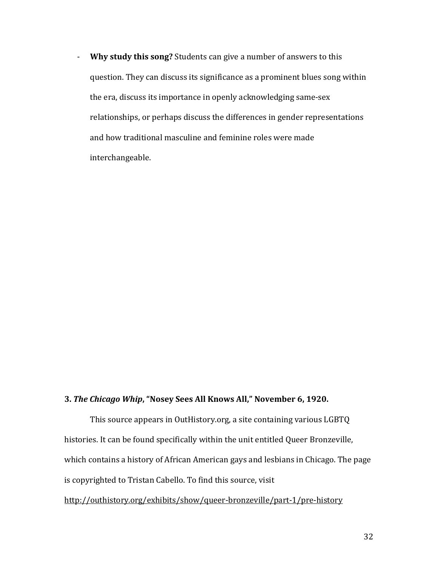- **Why study this song?** Students can give a number of answers to this question. They can discuss its significance as a prominent blues song within the era, discuss its importance in openly acknowledging same-sex relationships, or perhaps discuss the differences in gender representations and how traditional masculine and feminine roles were made interchangeable.

#### **3.** *The Chicago Whip***, "Nosey Sees All Knows All," November 6, 1920.**

This source appears in OutHistory.org, a site containing various LGBTQ histories. It can be found specifically within the unit entitled Queer Bronzeville, which contains a history of African American gays and lesbians in Chicago. The page is copyrighted to Tristan Cabello. To find this source, visit

<http://outhistory.org/exhibits/show/queer-bronzeville/part-1/pre-history>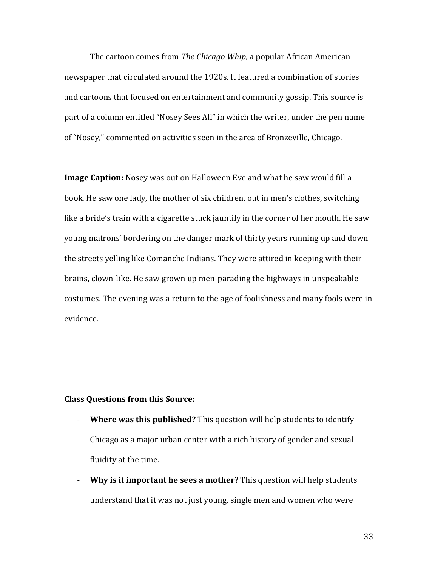The cartoon comes from *The Chicago Whip*, a popular African American newspaper that circulated around the 1920s. It featured a combination of stories and cartoons that focused on entertainment and community gossip. This source is part of a column entitled "Nosey Sees All" in which the writer, under the pen name of "Nosey," commented on activities seen in the area of Bronzeville, Chicago.

**Image Caption:** Nosey was out on Halloween Eve and what he saw would fill a book. He saw one lady, the mother of six children, out in men's clothes, switching like a bride's train with a cigarette stuck jauntily in the corner of her mouth. He saw young matrons' bordering on the danger mark of thirty years running up and down the streets yelling like Comanche Indians. They were attired in keeping with their brains, clown-like. He saw grown up men-parading the highways in unspeakable costumes. The evening was a return to the age of foolishness and many fools were in evidence.

### **Class Questions from this Source:**

- **Where was this published?** This question will help students to identify Chicago as a major urban center with a rich history of gender and sexual fluidity at the time.
- **Why is it important he sees a mother?** This question will help students understand that it was not just young, single men and women who were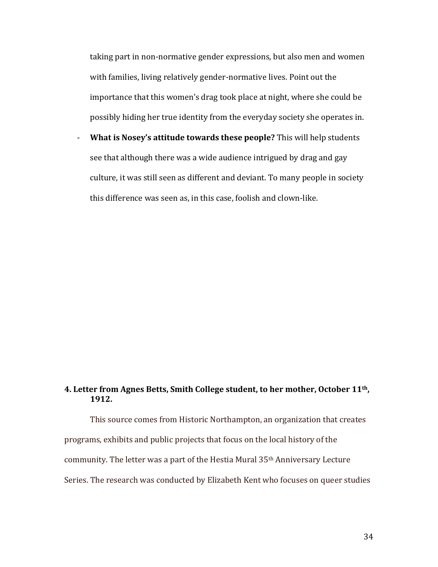taking part in non-normative gender expressions, but also men and women with families, living relatively gender-normative lives. Point out the importance that this women's drag took place at night, where she could be possibly hiding her true identity from the everyday society she operates in.

- **What is Nosey's attitude towards these people?** This will help students see that although there was a wide audience intrigued by drag and gay culture, it was still seen as different and deviant. To many people in society this difference was seen as, in this case, foolish and clown-like.

## **4. Letter from Agnes Betts, Smith College student, to her mother, October 11th, 1912.**

This source comes from Historic Northampton, an organization that creates programs, exhibits and public projects that focus on the local history of the community. The letter was a part of the Hestia Mural 35th Anniversary Lecture Series. The research was conducted by Elizabeth Kent who focuses on queer studies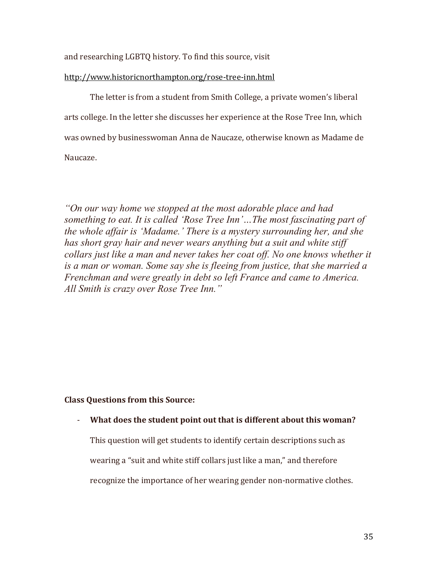and researching LGBTQ history. To find this source, visit

## <http://www.historicnorthampton.org/rose-tree-inn.html>

The letter is from a student from Smith College, a private women's liberal arts college. In the letter she discusses her experience at the Rose Tree Inn, which was owned by businesswoman Anna de Naucaze, otherwise known as Madame de Naucaze.

*"On our way home we stopped at the most adorable place and had something to eat. It is called 'Rose Tree Inn'…The most fascinating part of the whole affair is 'Madame.' There is a mystery surrounding her, and she has short gray hair and never wears anything but a suit and white stiff collars just like a man and never takes her coat off. No one knows whether it is a man or woman. Some say she is fleeing from justice, that she married a Frenchman and were greatly in debt so left France and came to America. All Smith is crazy over Rose Tree Inn."*

## **Class Questions from this Source:**

## - **What does the student point out that is different about this woman?**

This question will get students to identify certain descriptions such as

wearing a "suit and white stiff collars just like a man," and therefore

recognize the importance of her wearing gender non-normative clothes.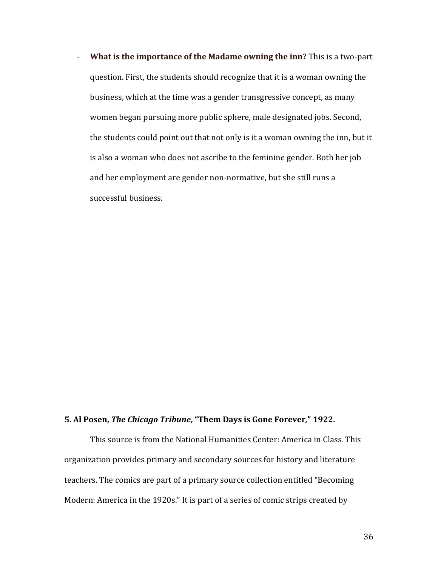- **What is the importance of the Madame owning the inn?** This is a two-part question. First, the students should recognize that it is a woman owning the business, which at the time was a gender transgressive concept, as many women began pursuing more public sphere, male designated jobs. Second, the students could point out that not only is it a woman owning the inn, but it is also a woman who does not ascribe to the feminine gender. Both her job and her employment are gender non-normative, but she still runs a successful business.

#### **5. Al Posen,** *The Chicago Tribune***, "Them Days is Gone Forever***,***" 1922.**

This source is from the National Humanities Center: America in Class. This organization provides primary and secondary sources for history and literature teachers. The comics are part of a primary source collection entitled "Becoming Modern: America in the 1920s." It is part of a series of comic strips created by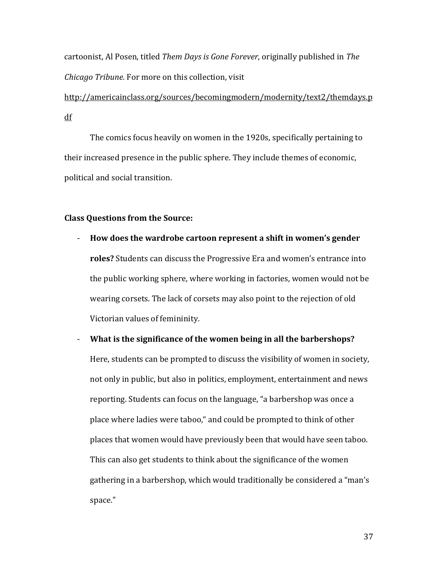cartoonist, Al Posen, titled *Them Days is Gone Forever*, originally published in *The Chicago Tribune.* For more on this collection, visit

http://americainclass.org/sources/becomingmodern/modernity/text2/themdays.p df

The comics focus heavily on women in the 1920s, specifically pertaining to their increased presence in the public sphere. They include themes of economic, political and social transition.

#### **Class Questions from the Source:**

- **How does the wardrobe cartoon represent a shift in women's gender roles?** Students can discuss the Progressive Era and women's entrance into the public working sphere, where working in factories, women would not be wearing corsets. The lack of corsets may also point to the rejection of old Victorian values of femininity.
- **What is the significance of the women being in all the barbershops?** Here, students can be prompted to discuss the visibility of women in society, not only in public, but also in politics, employment, entertainment and news reporting. Students can focus on the language, "a barbershop was once a place where ladies were taboo," and could be prompted to think of other places that women would have previously been that would have seen taboo. This can also get students to think about the significance of the women gathering in a barbershop, which would traditionally be considered a "man's space."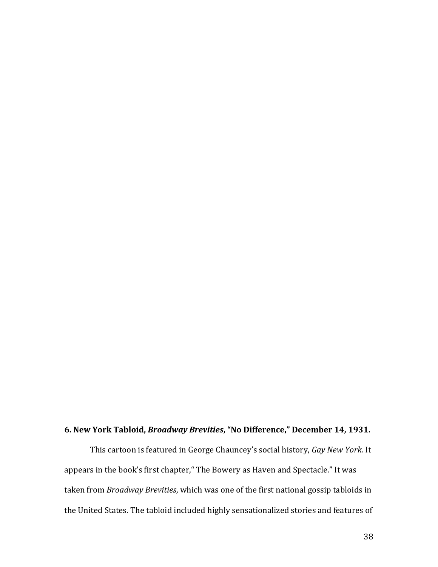# **6. New York Tabloid,** *Broadway Brevities***, "No Difference," December 14, 1931.**

This cartoon is featured in George Chauncey's social history, *Gay New York.* It appears in the book's first chapter," The Bowery as Haven and Spectacle." It was taken from *Broadway Brevities*, which was one of the first national gossip tabloids in the United States. The tabloid included highly sensationalized stories and features of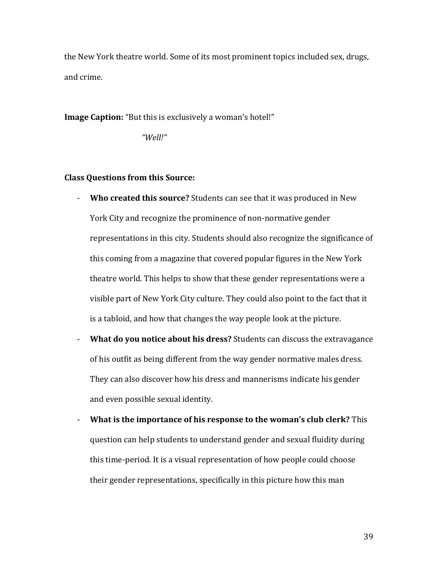the New York theatre world. Some of its most prominent topics included sex, drugs, and crime.

**Image Caption:** "But this is exclusively a woman's hotel!"

*"Well!"* 

## **Class Questions from this Source:**

- **Who created this source?** Students can see that it was produced in New York City and recognize the prominence of non-normative gender representations in this city. Students should also recognize the significance of this coming from a magazine that covered popular figures in the New York theatre world. This helps to show that these gender representations were a visible part of New York City culture. They could also point to the fact that it is a tabloid, and how that changes the way people look at the picture.
- **What do you notice about his dress?** Students can discuss the extravagance of his outfit as being different from the way gender normative males dress. They can also discover how his dress and mannerisms indicate his gender and even possible sexual identity.
- **What is the importance of his response to the woman's club clerk?** This question can help students to understand gender and sexual fluidity during this time-period. It is a visual representation of how people could choose their gender representations, specifically in this picture how this man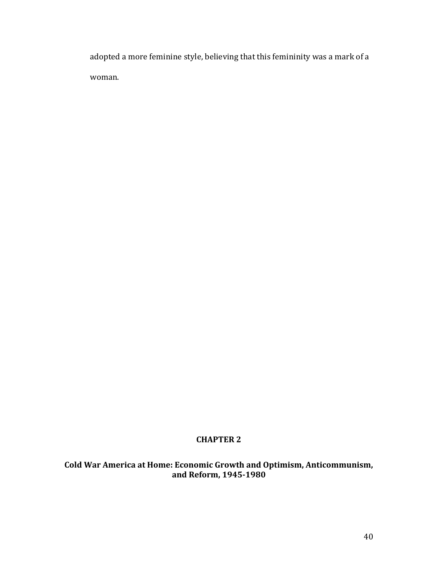adopted a more feminine style, believing that this femininity was a mark of a woman.

## **CHAPTER 2**

**Cold War America at Home: Economic Growth and Optimism, Anticommunism, and Reform, 1945-1980**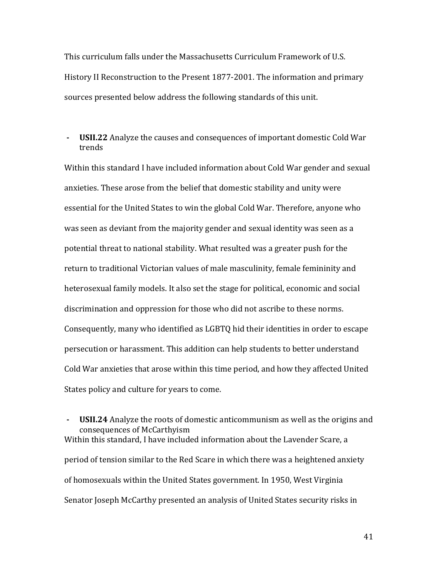This curriculum falls under the Massachusetts Curriculum Framework of U.S. History II Reconstruction to the Present 1877-2001. The information and primary sources presented below address the following standards of this unit.

## **- USII.22** Analyze the causes and consequences of important domestic Cold War trends

Within this standard I have included information about Cold War gender and sexual anxieties. These arose from the belief that domestic stability and unity were essential for the United States to win the global Cold War. Therefore, anyone who was seen as deviant from the majority gender and sexual identity was seen as a potential threat to national stability. What resulted was a greater push for the return to traditional Victorian values of male masculinity, female femininity and heterosexual family models. It also set the stage for political, economic and social discrimination and oppression for those who did not ascribe to these norms. Consequently, many who identified as LGBTQ hid their identities in order to escape persecution or harassment. This addition can help students to better understand Cold War anxieties that arose within this time period, and how they affected United States policy and culture for years to come.

**- USII.24** Analyze the roots of domestic anticommunism as well as the origins and consequences of McCarthyism Within this standard, I have included information about the Lavender Scare, a period of tension similar to the Red Scare in which there was a heightened anxiety of homosexuals within the United States government. In 1950, West Virginia Senator Joseph McCarthy presented an analysis of United States security risks in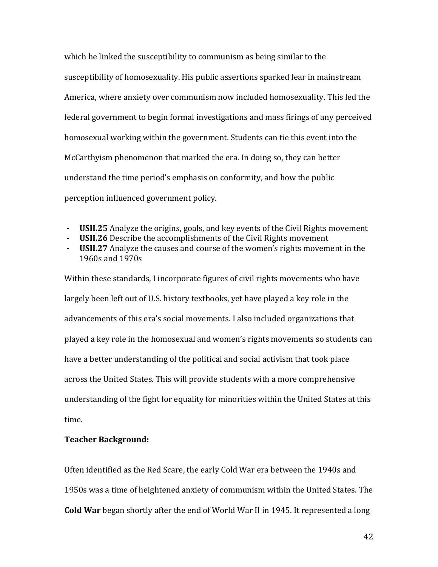which he linked the susceptibility to communism as being similar to the susceptibility of homosexuality. His public assertions sparked fear in mainstream America, where anxiety over communism now included homosexuality. This led the federal government to begin formal investigations and mass firings of any perceived homosexual working within the government. Students can tie this event into the McCarthyism phenomenon that marked the era. In doing so, they can better understand the time period's emphasis on conformity, and how the public perception influenced government policy.

- **- USII.25** Analyze the origins, goals, and key events of the Civil Rights movement
- **- USII.26** Describe the accomplishments of the Civil Rights movement
- **- USII.27** Analyze the causes and course of the women's rights movement in the 1960s and 1970s

Within these standards, I incorporate figures of civil rights movements who have largely been left out of U.S. history textbooks, yet have played a key role in the advancements of this era's social movements. I also included organizations that played a key role in the homosexual and women's rights movements so students can have a better understanding of the political and social activism that took place across the United States. This will provide students with a more comprehensive understanding of the fight for equality for minorities within the United States at this time.

#### **Teacher Background:**

Often identified as the Red Scare, the early Cold War era between the 1940s and 1950s was a time of heightened anxiety of communism within the United States. The **Cold War** began shortly after the end of World War II in 1945. It represented a long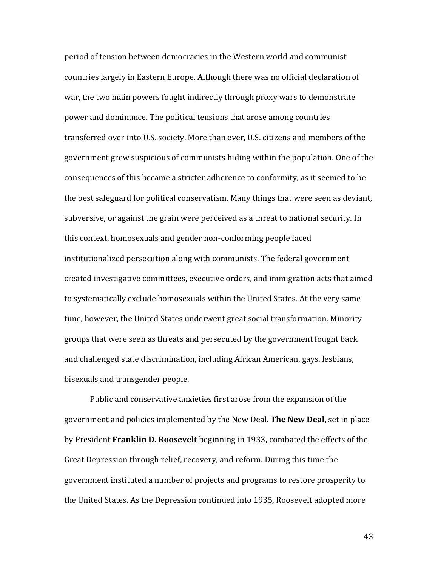period of tension between democracies in the Western world and communist countries largely in Eastern Europe. Although there was no official declaration of war, the two main powers fought indirectly through proxy wars to demonstrate power and dominance. The political tensions that arose among countries transferred over into U.S. society. More than ever, U.S. citizens and members of the government grew suspicious of communists hiding within the population. One of the consequences of this became a stricter adherence to conformity, as it seemed to be the best safeguard for political conservatism. Many things that were seen as deviant, subversive, or against the grain were perceived as a threat to national security. In this context, homosexuals and gender non-conforming people faced institutionalized persecution along with communists. The federal government created investigative committees, executive orders, and immigration acts that aimed to systematically exclude homosexuals within the United States. At the very same time, however, the United States underwent great social transformation. Minority groups that were seen as threats and persecuted by the government fought back and challenged state discrimination, including African American, gays, lesbians, bisexuals and transgender people.

Public and conservative anxieties first arose from the expansion of the government and policies implemented by the New Deal. **The New Deal,** set in place by President **Franklin D. Roosevelt** beginning in 1933**,** combated the effects of the Great Depression through relief, recovery, and reform. During this time the government instituted a number of projects and programs to restore prosperity to the United States. As the Depression continued into 1935, Roosevelt adopted more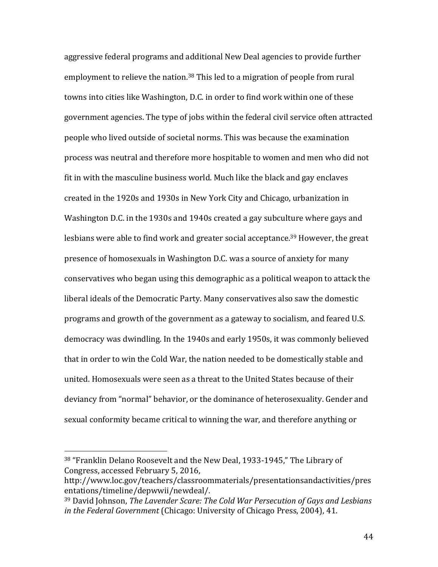aggressive federal programs and additional New Deal agencies to provide further employment to relieve the nation.<sup>38</sup> This led to a migration of people from rural towns into cities like Washington, D.C. in order to find work within one of these government agencies. The type of jobs within the federal civil service often attracted people who lived outside of societal norms. This was because the examination process was neutral and therefore more hospitable to women and men who did not fit in with the masculine business world. Much like the black and gay enclaves created in the 1920s and 1930s in New York City and Chicago, urbanization in Washington D.C. in the 1930s and 1940s created a gay subculture where gays and lesbians were able to find work and greater social acceptance.<sup>39</sup> However, the great presence of homosexuals in Washington D.C. was a source of anxiety for many conservatives who began using this demographic as a political weapon to attack the liberal ideals of the Democratic Party. Many conservatives also saw the domestic programs and growth of the government as a gateway to socialism, and feared U.S. democracy was dwindling. In the 1940s and early 1950s, it was commonly believed that in order to win the Cold War, the nation needed to be domestically stable and united. Homosexuals were seen as a threat to the United States because of their deviancy from "normal" behavior, or the dominance of heterosexuality. Gender and sexual conformity became critical to winning the war, and therefore anything or

<sup>38</sup> "Franklin Delano Roosevelt and the New Deal, 1933-1945," The Library of Congress, accessed February 5, 2016,

http://www.loc.gov/teachers/classroommaterials/presentationsandactivities/pres entations/timeline/depwwii/newdeal/.

<sup>39</sup> David Johnson, *The Lavender Scare: The Cold War Persecution of Gays and Lesbians in the Federal Government* (Chicago: University of Chicago Press, 2004), 41.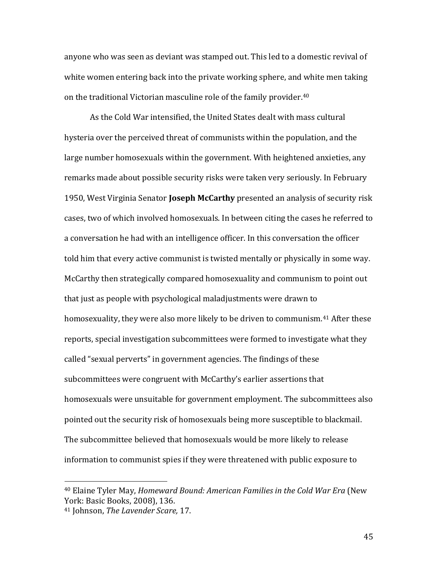anyone who was seen as deviant was stamped out. This led to a domestic revival of white women entering back into the private working sphere, and white men taking on the traditional Victorian masculine role of the family provider.<sup>40</sup>

As the Cold War intensified, the United States dealt with mass cultural hysteria over the perceived threat of communists within the population, and the large number homosexuals within the government. With heightened anxieties, any remarks made about possible security risks were taken very seriously. In February 1950, West Virginia Senator **Joseph McCarthy** presented an analysis of security risk cases, two of which involved homosexuals. In between citing the cases he referred to a conversation he had with an intelligence officer. In this conversation the officer told him that every active communist is twisted mentally or physically in some way. McCarthy then strategically compared homosexuality and communism to point out that just as people with psychological maladjustments were drawn to homosexuality, they were also more likely to be driven to communism.<sup>41</sup> After these reports, special investigation subcommittees were formed to investigate what they called "sexual perverts" in government agencies. The findings of these subcommittees were congruent with McCarthy's earlier assertions that homosexuals were unsuitable for government employment. The subcommittees also pointed out the security risk of homosexuals being more susceptible to blackmail. The subcommittee believed that homosexuals would be more likely to release information to communist spies if they were threatened with public exposure to

 $\overline{a}$ 

<sup>40</sup> Elaine Tyler May, *Homeward Bound: American Families in the Cold War Era* (New York: Basic Books, 2008), 136.

<sup>41</sup> Johnson, *The Lavender Scare,* 17.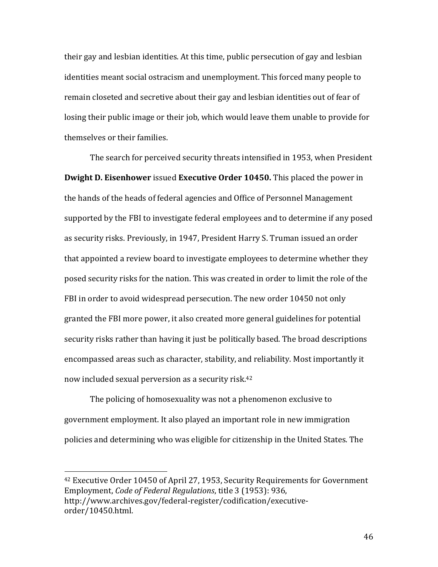their gay and lesbian identities. At this time, public persecution of gay and lesbian identities meant social ostracism and unemployment. This forced many people to remain closeted and secretive about their gay and lesbian identities out of fear of losing their public image or their job, which would leave them unable to provide for themselves or their families.

The search for perceived security threats intensified in 1953, when President **Dwight D. Eisenhower** issued **Executive Order 10450.** This placed the power in the hands of the heads of federal agencies and Office of Personnel Management supported by the FBI to investigate federal employees and to determine if any posed as security risks. Previously, in 1947, President Harry S. Truman issued an order that appointed a review board to investigate employees to determine whether they posed security risks for the nation. This was created in order to limit the role of the FBI in order to avoid widespread persecution. The new order 10450 not only granted the FBI more power, it also created more general guidelines for potential security risks rather than having it just be politically based. The broad descriptions encompassed areas such as character, stability, and reliability. Most importantly it now included sexual perversion as a security risk.<sup>42</sup>

The policing of homosexuality was not a phenomenon exclusive to government employment. It also played an important role in new immigration policies and determining who was eligible for citizenship in the United States. The

<sup>42</sup> Executive Order 10450 of April 27, 1953, Security Requirements for Government Employment, *Code of Federal Regulations*, title 3 (1953): 936, http://www.archives.gov/federal-register/codification/executiveorder/10450.html.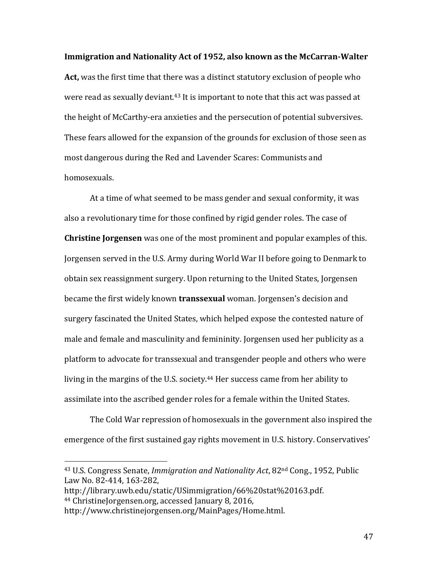**Immigration and Nationality Act of 1952, also known as the McCarran-Walter Act,** was the first time that there was a distinct statutory exclusion of people who were read as sexually deviant.<sup>43</sup> It is important to note that this act was passed at the height of McCarthy-era anxieties and the persecution of potential subversives. These fears allowed for the expansion of the grounds for exclusion of those seen as most dangerous during the Red and Lavender Scares: Communists and homosexuals.

At a time of what seemed to be mass gender and sexual conformity, it was also a revolutionary time for those confined by rigid gender roles. The case of **Christine Jorgensen** was one of the most prominent and popular examples of this. Jorgensen served in the U.S. Army during World War II before going to Denmark to obtain sex reassignment surgery. Upon returning to the United States, Jorgensen became the first widely known **transsexual** woman. Jorgensen's decision and surgery fascinated the United States, which helped expose the contested nature of male and female and masculinity and femininity. Jorgensen used her publicity as a platform to advocate for transsexual and transgender people and others who were living in the margins of the U.S. society.<sup>44</sup> Her success came from her ability to assimilate into the ascribed gender roles for a female within the United States.

The Cold War repression of homosexuals in the government also inspired the emergence of the first sustained gay rights movement in U.S. history. Conservatives'

l

<sup>43</sup> U.S. Congress Senate, *Immigration and Nationality Act*, 82nd Cong., 1952, Public Law No. 82-414, 163-282,

http://library.uwb.edu/static/USimmigration/66%20stat%20163.pdf. <sup>44</sup> ChristineJorgensen.org, accessed January 8, 2016,

http://www.christinejorgensen.org/MainPages/Home.html.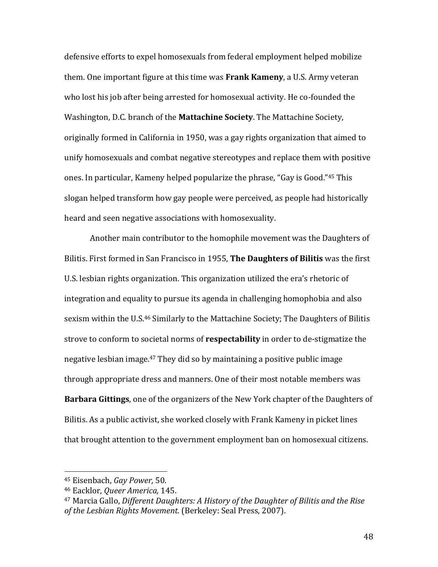defensive efforts to expel homosexuals from federal employment helped mobilize them. One important figure at this time was **Frank Kameny**, a U.S. Army veteran who lost his job after being arrested for homosexual activity. He co-founded the Washington, D.C. branch of the **Mattachine Society**. The Mattachine Society, originally formed in California in 1950, was a gay rights organization that aimed to unify homosexuals and combat negative stereotypes and replace them with positive ones. In particular, Kameny helped popularize the phrase, "Gay is Good."<sup>45</sup> This slogan helped transform how gay people were perceived, as people had historically heard and seen negative associations with homosexuality.

Another main contributor to the homophile movement was the Daughters of Bilitis. First formed in San Francisco in 1955, **The Daughters of Bilitis** was the first U.S. lesbian rights organization. This organization utilized the era's rhetoric of integration and equality to pursue its agenda in challenging homophobia and also sexism within the U.S.<sup>46</sup> Similarly to the Mattachine Society; The Daughters of Bilitis strove to conform to societal norms of **respectability** in order to de-stigmatize the negative lesbian image.<sup>47</sup> They did so by maintaining a positive public image through appropriate dress and manners. One of their most notable members was **Barbara Gittings**, one of the organizers of the New York chapter of the Daughters of Bilitis. As a public activist, she worked closely with Frank Kameny in picket lines that brought attention to the government employment ban on homosexual citizens.

 $\overline{\phantom{a}}$ 

<sup>45</sup> Eisenbach, *Gay Power,* 50.

<sup>46</sup> Eacklor, *Queer America,* 145.

<sup>47</sup> Marcia Gallo, *Different Daughters: A History of the Daughter of Bilitis and the Rise of the Lesbian Rights Movement.* (Berkeley: Seal Press, 2007).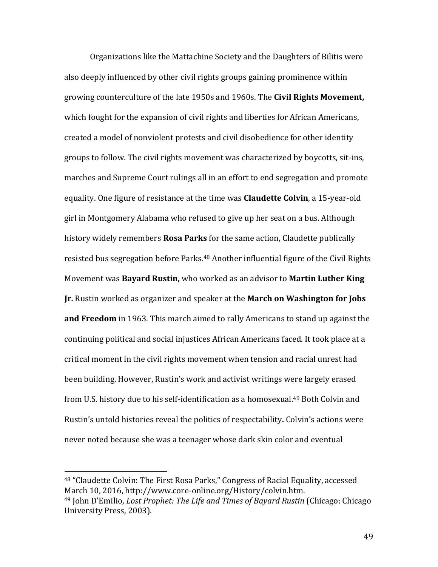Organizations like the Mattachine Society and the Daughters of Bilitis were also deeply influenced by other civil rights groups gaining prominence within growing counterculture of the late 1950s and 1960s. The **Civil Rights Movement,**  which fought for the expansion of civil rights and liberties for African Americans, created a model of nonviolent protests and civil disobedience for other identity groups to follow. The civil rights movement was characterized by boycotts, sit-ins, marches and Supreme Court rulings all in an effort to end segregation and promote equality. One figure of resistance at the time was **Claudette Colvin**, a 15-year-old girl in Montgomery Alabama who refused to give up her seat on a bus. Although history widely remembers **Rosa Parks** for the same action, Claudette publically resisted bus segregation before Parks.<sup>48</sup> Another influential figure of the Civil Rights Movement was **Bayard Rustin,** who worked as an advisor to **Martin Luther King Jr.** Rustin worked as organizer and speaker at the **March on Washington for Jobs and Freedom** in 1963. This march aimed to rally Americans to stand up against the continuing political and social injustices African Americans faced. It took place at a critical moment in the civil rights movement when tension and racial unrest had been building. However, Rustin's work and activist writings were largely erased from U.S. history due to his self-identification as a homosexual.<sup>49</sup> Both Colvin and Rustin's untold histories reveal the politics of respectability**.** Colvin's actions were never noted because she was a teenager whose dark skin color and eventual

 $\overline{\phantom{a}}$ 

<sup>48</sup> "Claudette Colvin: The First Rosa Parks," Congress of Racial Equality, accessed March 10, 2016, http://www.core-online.org/History/colvin.htm.

<sup>49</sup> John D'Emilio, *Lost Prophet: The Life and Times of Bayard Rustin* (Chicago: Chicago University Press, 2003).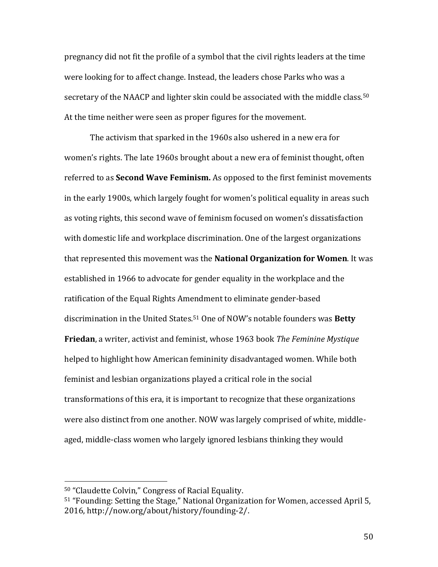pregnancy did not fit the profile of a symbol that the civil rights leaders at the time were looking for to affect change. Instead, the leaders chose Parks who was a secretary of the NAACP and lighter skin could be associated with the middle class.<sup>50</sup> At the time neither were seen as proper figures for the movement.

The activism that sparked in the 1960s also ushered in a new era for women's rights. The late 1960s brought about a new era of feminist thought, often referred to as **Second Wave Feminism.** As opposed to the first feminist movements in the early 1900s, which largely fought for women's political equality in areas such as voting rights, this second wave of feminism focused on women's dissatisfaction with domestic life and workplace discrimination. One of the largest organizations that represented this movement was the **National Organization for Women**. It was established in 1966 to advocate for gender equality in the workplace and the ratification of the Equal Rights Amendment to eliminate gender-based discrimination in the United States.<sup>51</sup> One of NOW's notable founders was **Betty Friedan**, a writer, activist and feminist, whose 1963 book *The Feminine Mystique*  helped to highlight how American femininity disadvantaged women. While both feminist and lesbian organizations played a critical role in the social transformations of this era, it is important to recognize that these organizations were also distinct from one another. NOW was largely comprised of white, middleaged, middle-class women who largely ignored lesbians thinking they would

 $\overline{\phantom{a}}$ 

<sup>50</sup> "Claudette Colvin," Congress of Racial Equality.

<sup>51</sup> "Founding: Setting the Stage," National Organization for Women, accessed April 5, 2016, http://now.org/about/history/founding-2/.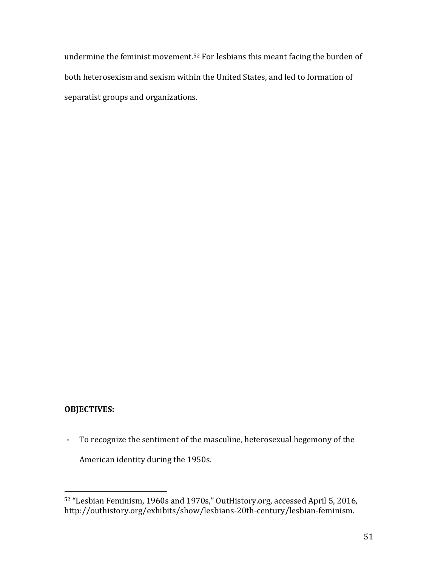undermine the feminist movement.<sup>52</sup> For lesbians this meant facing the burden of both heterosexism and sexism within the United States, and led to formation of separatist groups and organizations.

## **OBJECTIVES:**

 $\overline{\phantom{a}}$ 

**-** To recognize the sentiment of the masculine, heterosexual hegemony of the American identity during the 1950s.

<sup>52</sup> "Lesbian Feminism, 1960s and 1970s," OutHistory.org, accessed April 5, 2016, http://outhistory.org/exhibits/show/lesbians-20th-century/lesbian-feminism.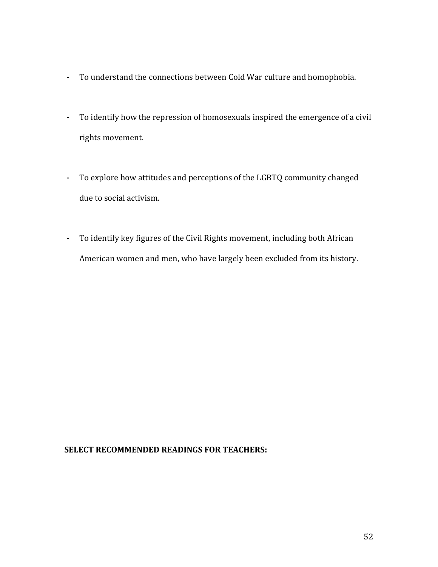- **-** To understand the connections between Cold War culture and homophobia.
- **-** To identify how the repression of homosexuals inspired the emergence of a civil rights movement.
- **-** To explore how attitudes and perceptions of the LGBTQ community changed due to social activism.
- **-** To identify key figures of the Civil Rights movement, including both African American women and men, who have largely been excluded from its history.

## **SELECT RECOMMENDED READINGS FOR TEACHERS:**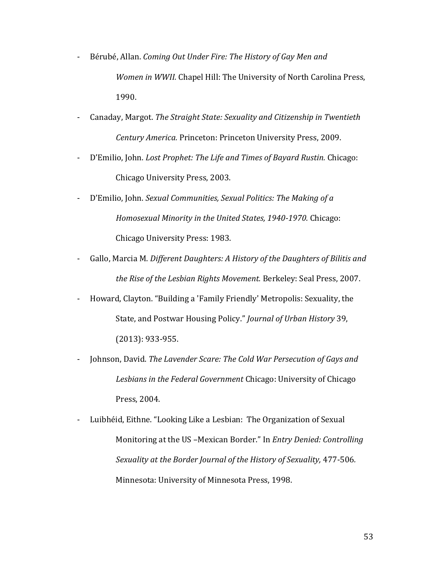- Bérubé, Allan. *Coming Out Under Fire: The History of Gay Men and Women in WWII.* Chapel Hill: The University of North Carolina Press, 1990.
- Canaday, Margot. *The Straight State: Sexuality and Citizenship in Twentieth Century America.* Princeton: Princeton University Press, 2009.
- D'Emilio, John. *Lost Prophet: The Life and Times of Bayard Rustin.* Chicago: Chicago University Press, 2003.
- D'Emilio, John. *Sexual Communities, Sexual Politics: The Making of a Homosexual Minority in the United States, 1940-1970.* Chicago: Chicago University Press: 1983.
- Gallo, Marcia M. *Different Daughters: A History of the Daughters of Bilitis and the Rise of the Lesbian Rights Movement.* Berkeley: Seal Press, 2007.
- Howard, Clayton. "Building a 'Family Friendly' Metropolis: Sexuality, the State, and Postwar Housing Policy." *Journal of Urban History* 39, (2013): 933-955.
- Johnson, David. *The Lavender Scare: The Cold War Persecution of Gays and Lesbians in the Federal Government* Chicago: University of Chicago Press, 2004.
- Luibhéid, Eithne. "Looking Like a Lesbian: The Organization of Sexual Monitoring at the US –Mexican Border." In *Entry Denied: Controlling Sexuality at the Border Journal of the History of Sexuality,* 477-506*.*  Minnesota: University of Minnesota Press, 1998.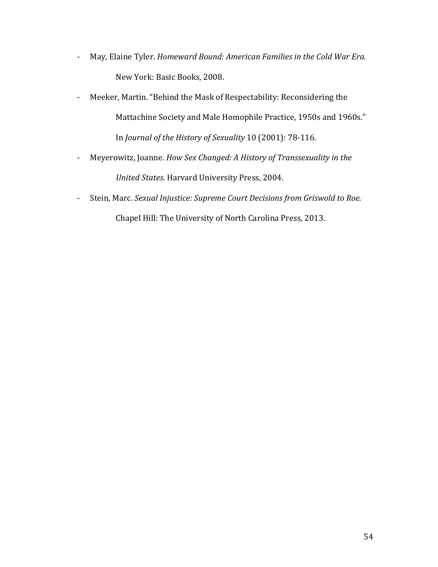- May, Elaine Tyler. *Homeward Bound: American Families in the Cold War Era.*  New York: Basic Books, 2008.
- Meeker, Martin. "Behind the Mask of Respectability: Reconsidering the Mattachine Society and Male Homophile Practice, 1950s and 1960s." In *Journal of the History of Sexuality* 10 (2001): 78-116.
- Meyerowitz, Joanne. *How Sex Changed: A History of Transsexuality in the United States.* Harvard University Press, 2004.
- Stein, Marc. *Sexual Injustice: Supreme Court Decisions from Griswold to Roe.*  Chapel Hill: The University of North Carolina Press, 2013.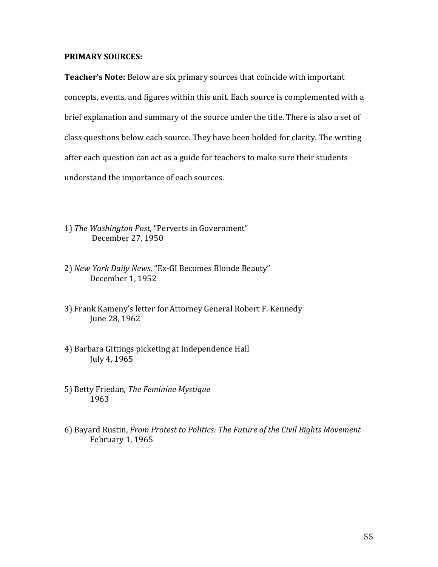#### **PRIMARY SOURCES:**

**Teacher's Note:** Below are six primary sources that coincide with important concepts, events, and figures within this unit. Each source is complemented with a brief explanation and summary of the source under the title. There is also a set of class questions below each source. They have been bolded for clarity. The writing after each question can act as a guide for teachers to make sure their students understand the importance of each sources.

- 1) *The Washington Post*, "Perverts in Government" December 27, 1950
- 2) *New York Daily News*, "Ex-GI Becomes Blonde Beauty" December 1, 1952
- 3) Frank Kameny's letter for Attorney General Robert F. Kennedy June 28, 1962
- 4) Barbara Gittings picketing at Independence Hall July 4, 1965
- 5) Betty Friedan, *The Feminine Mystique* 1963
- 6) Bayard Rustin, *From Protest to Politics: The Future of the Civil Rights Movement* February 1, 1965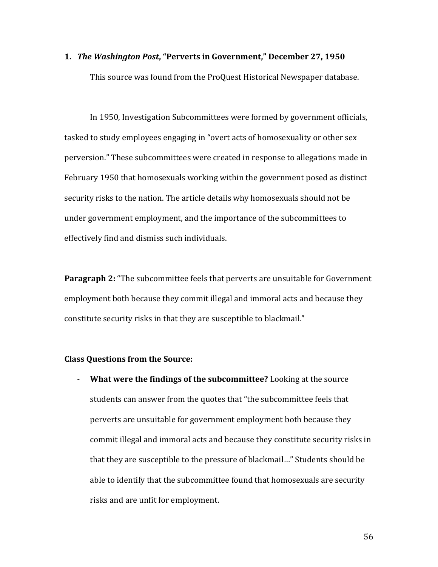**1.** *The Washington Post***, "Perverts in Government," December 27, 1950** This source was found from the ProQuest Historical Newspaper database.

In 1950, Investigation Subcommittees were formed by government officials, tasked to study employees engaging in "overt acts of homosexuality or other sex perversion." These subcommittees were created in response to allegations made in February 1950 that homosexuals working within the government posed as distinct security risks to the nation. The article details why homosexuals should not be under government employment, and the importance of the subcommittees to effectively find and dismiss such individuals.

**Paragraph 2:** "The subcommittee feels that perverts are unsuitable for Government employment both because they commit illegal and immoral acts and because they constitute security risks in that they are susceptible to blackmail."

#### **Class Questions from the Source:**

- **What were the findings of the subcommittee?** Looking at the source students can answer from the quotes that "the subcommittee feels that perverts are unsuitable for government employment both because they commit illegal and immoral acts and because they constitute security risks in that they are susceptible to the pressure of blackmail…" Students should be able to identify that the subcommittee found that homosexuals are security risks and are unfit for employment.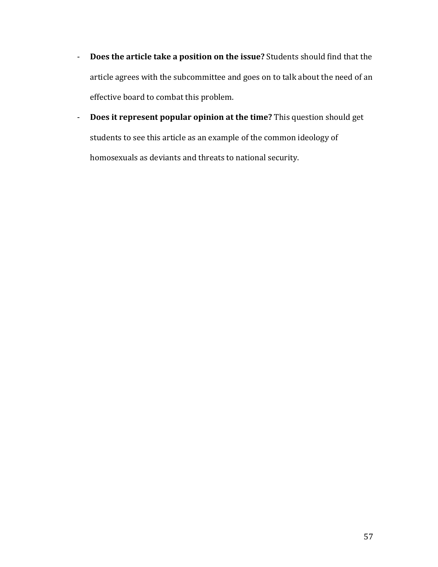- **Does the article take a position on the issue?** Students should find that the article agrees with the subcommittee and goes on to talk about the need of an effective board to combat this problem.
- **Does it represent popular opinion at the time?** This question should get students to see this article as an example of the common ideology of homosexuals as deviants and threats to national security.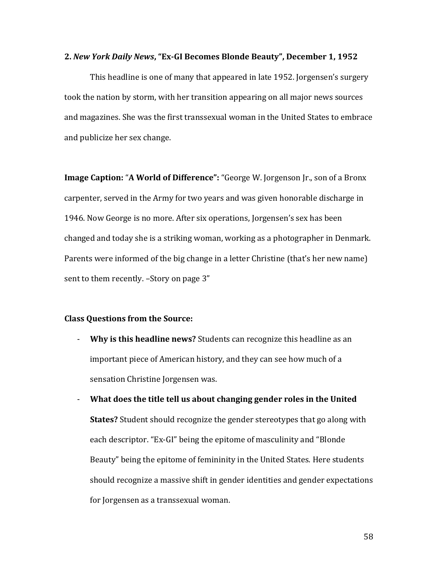#### **2.** *New York Daily News***, "Ex-GI Becomes Blonde Beauty", December 1, 1952**

This headline is one of many that appeared in late 1952. Jorgensen's surgery took the nation by storm, with her transition appearing on all major news sources and magazines. She was the first transsexual woman in the United States to embrace and publicize her sex change.

**Image Caption:** "**A World of Difference":** "George W. Jorgenson Jr., son of a Bronx carpenter, served in the Army for two years and was given honorable discharge in 1946. Now George is no more. After six operations, Jorgensen's sex has been changed and today she is a striking woman, working as a photographer in Denmark. Parents were informed of the big change in a letter Christine (that's her new name) sent to them recently. –Story on page 3"

### **Class Questions from the Source:**

- **Why is this headline news?** Students can recognize this headline as an important piece of American history, and they can see how much of a sensation Christine Jorgensen was.
- **What does the title tell us about changing gender roles in the United States?** Student should recognize the gender stereotypes that go along with each descriptor. "Ex-GI" being the epitome of masculinity and "Blonde Beauty" being the epitome of femininity in the United States. Here students should recognize a massive shift in gender identities and gender expectations for Jorgensen as a transsexual woman.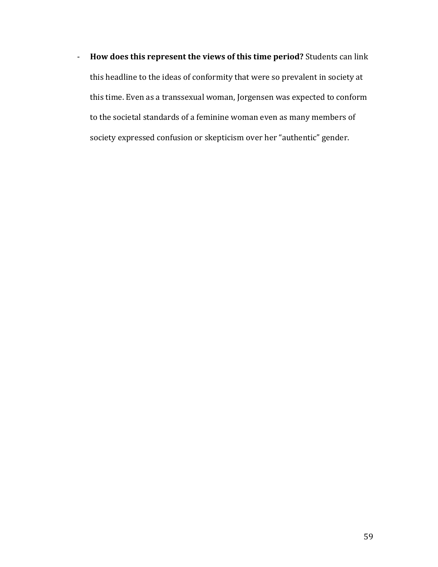- **How does this represent the views of this time period?** Students can link this headline to the ideas of conformity that were so prevalent in society at this time. Even as a transsexual woman, Jorgensen was expected to conform to the societal standards of a feminine woman even as many members of society expressed confusion or skepticism over her "authentic" gender.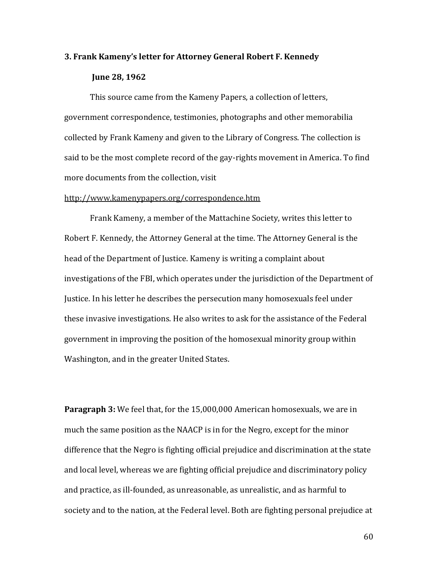#### **3. Frank Kameny's letter for Attorney General Robert F. Kennedy**

#### **June 28, 1962**

This source came from the Kameny Papers, a collection of letters, government correspondence, testimonies, photographs and other memorabilia collected by Frank Kameny and given to the Library of Congress. The collection is said to be the most complete record of the gay-rights movement in America. To find more documents from the collection, visit

#### <http://www.kamenypapers.org/correspondence.htm>

Frank Kameny, a member of the Mattachine Society, writes this letter to Robert F. Kennedy, the Attorney General at the time. The Attorney General is the head of the Department of Justice. Kameny is writing a complaint about investigations of the FBI, which operates under the jurisdiction of the Department of Justice. In his letter he describes the persecution many homosexuals feel under these invasive investigations. He also writes to ask for the assistance of the Federal government in improving the position of the homosexual minority group within Washington, and in the greater United States.

**Paragraph 3:** We feel that, for the 15,000,000 American homosexuals, we are in much the same position as the NAACP is in for the Negro, except for the minor difference that the Negro is fighting official prejudice and discrimination at the state and local level, whereas we are fighting official prejudice and discriminatory policy and practice, as ill-founded, as unreasonable, as unrealistic, and as harmful to society and to the nation, at the Federal level. Both are fighting personal prejudice at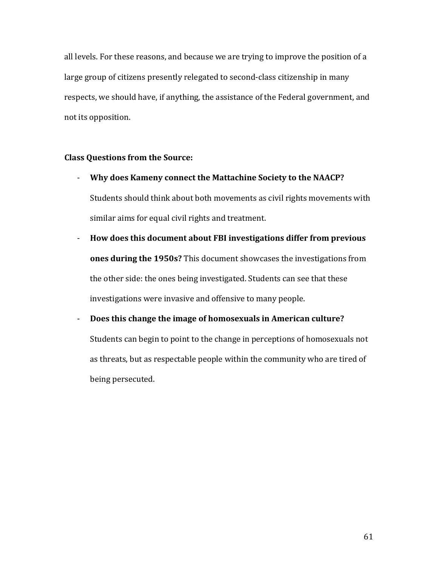all levels. For these reasons, and because we are trying to improve the position of a large group of citizens presently relegated to second-class citizenship in many respects, we should have, if anything, the assistance of the Federal government, and not its opposition.

#### **Class Questions from the Source:**

- **Why does Kameny connect the Mattachine Society to the NAACP?** Students should think about both movements as civil rights movements with similar aims for equal civil rights and treatment.
- **How does this document about FBI investigations differ from previous ones during the 1950s?** This document showcases the investigations from the other side: the ones being investigated. Students can see that these investigations were invasive and offensive to many people.
- **Does this change the image of homosexuals in American culture?** Students can begin to point to the change in perceptions of homosexuals not as threats, but as respectable people within the community who are tired of being persecuted.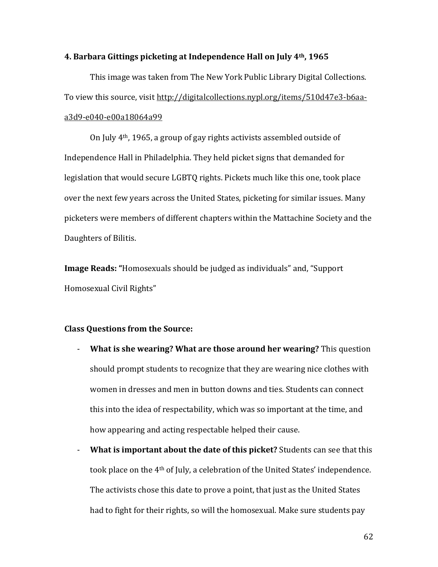#### **4. Barbara Gittings picketing at Independence Hall on July 4th, 1965**

This image was taken from The New York Public Library Digital Collections. To view this source, visit [http://digitalcollections.nypl.org/items/510d47e3-b6aa](http://digitalcollections.nypl.org/items/510d47e3-b6aa-a3d9-e040-e00a18064a99)[a3d9-e040-e00a18064a99](http://digitalcollections.nypl.org/items/510d47e3-b6aa-a3d9-e040-e00a18064a99)

On July 4th, 1965, a group of gay rights activists assembled outside of Independence Hall in Philadelphia. They held picket signs that demanded for legislation that would secure LGBTQ rights. Pickets much like this one, took place over the next few years across the United States, picketing for similar issues. Many picketers were members of different chapters within the Mattachine Society and the Daughters of Bilitis.

**Image Reads: "**Homosexuals should be judged as individuals" and, "Support Homosexual Civil Rights"

#### **Class Questions from the Source:**

- **What is she wearing? What are those around her wearing?** This question should prompt students to recognize that they are wearing nice clothes with women in dresses and men in button downs and ties. Students can connect this into the idea of respectability, which was so important at the time, and how appearing and acting respectable helped their cause.
- **What is important about the date of this picket?** Students can see that this took place on the 4th of July, a celebration of the United States' independence. The activists chose this date to prove a point, that just as the United States had to fight for their rights, so will the homosexual. Make sure students pay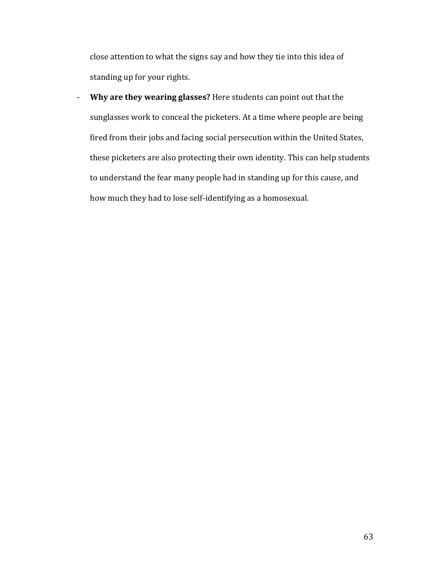close attention to what the signs say and how they tie into this idea of standing up for your rights.

- **Why are they wearing glasses?** Here students can point out that the sunglasses work to conceal the picketers. At a time where people are being fired from their jobs and facing social persecution within the United States, these picketers are also protecting their own identity. This can help students to understand the fear many people had in standing up for this cause, and how much they had to lose self-identifying as a homosexual.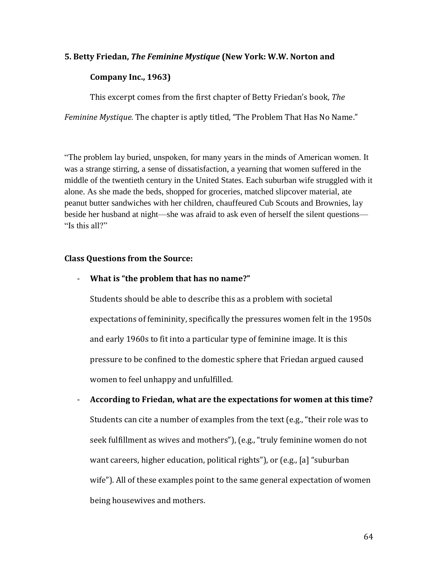## **5. Betty Friedan,** *The Feminine Mystique* **(New York: W.W. Norton and**

## **Company Inc., 1963)**

This excerpt comes from the first chapter of Betty Friedan's book, *The* 

*Feminine Mystique.* The chapter is aptly titled, "The Problem That Has No Name."

"The problem lay buried, unspoken, for many years in the minds of American women. It was a strange stirring, a sense of dissatisfaction, a yearning that women suffered in the middle of the twentieth century in the United States. Each suburban wife struggled with it alone. As she made the beds, shopped for groceries, matched slipcover material, ate peanut butter sandwiches with her children, chauffeured Cub Scouts and Brownies, lay beside her husband at night—she was afraid to ask even of herself the silent questions— "Is this all?"

#### **Class Questions from the Source:**

#### - **What is "the problem that has no name?"**

Students should be able to describe this as a problem with societal expectations of femininity, specifically the pressures women felt in the 1950s and early 1960s to fit into a particular type of feminine image. It is this pressure to be confined to the domestic sphere that Friedan argued caused women to feel unhappy and unfulfilled.

- **According to Friedan, what are the expectations for women at this time?** Students can cite a number of examples from the text (e.g., "their role was to seek fulfillment as wives and mothers"), (e.g., "truly feminine women do not want careers, higher education, political rights"), or (e.g., [a] "suburban wife"). All of these examples point to the same general expectation of women being housewives and mothers.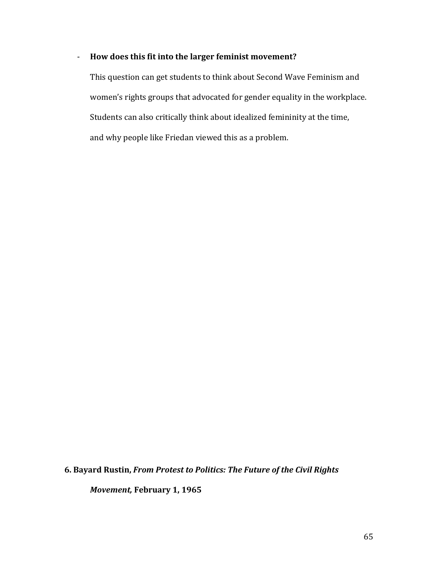## - **How does this fit into the larger feminist movement?**

This question can get students to think about Second Wave Feminism and women's rights groups that advocated for gender equality in the workplace. Students can also critically think about idealized femininity at the time, and why people like Friedan viewed this as a problem.

**6. Bayard Rustin,** *From Protest to Politics: The Future of the Civil Rights* 

*Movement,* **February 1, 1965**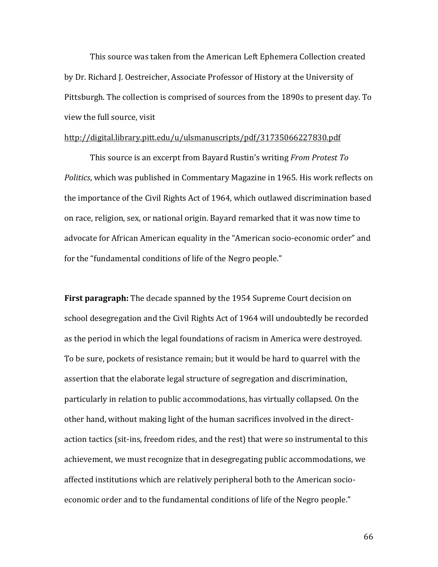This source was taken from the American Left Ephemera Collection created by Dr. Richard J. Oestreicher, Associate Professor of History at the University of Pittsburgh. The collection is comprised of sources from the 1890s to present day. To view the full source, visit

#### <http://digital.library.pitt.edu/u/ulsmanuscripts/pdf/31735066227830.pdf>

This source is an excerpt from Bayard Rustin's writing *From Protest To Politics*, which was published in Commentary Magazine in 1965. His work reflects on the importance of the Civil Rights Act of 1964, which outlawed discrimination based on race, religion, sex, or national origin. Bayard remarked that it was now time to advocate for African American equality in the "American socio-economic order" and for the "fundamental conditions of life of the Negro people."

**First paragraph:** The decade spanned by the 1954 Supreme Court decision on school desegregation and the Civil Rights Act of 1964 will undoubtedly be recorded as the period in which the legal foundations of racism in America were destroyed. To be sure, pockets of resistance remain; but it would be hard to quarrel with the assertion that the elaborate legal structure of segregation and discrimination, particularly in relation to public accommodations, has virtually collapsed. On the other hand, without making light of the human sacrifices involved in the directaction tactics (sit-ins, freedom rides, and the rest) that were so instrumental to this achievement, we must recognize that in desegregating public accommodations, we affected institutions which are relatively peripheral both to the American socioeconomic order and to the fundamental conditions of life of the Negro people."